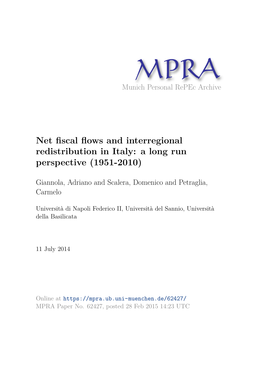

# **Net fiscal flows and interregional redistribution in Italy: a long run perspective (1951-2010)**

Giannola, Adriano and Scalera, Domenico and Petraglia, Carmelo

Università di Napoli Federico II, Università del Sannio, Università della Basilicata

11 July 2014

Online at https://mpra.ub.uni-muenchen.de/62427/ MPRA Paper No. 62427, posted 28 Feb 2015 14:23 UTC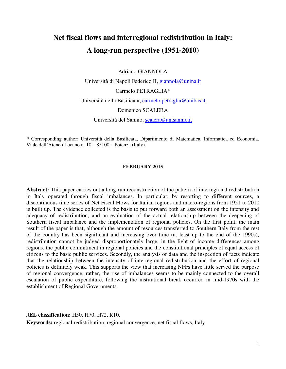## **Net fiscal flows and interregional redistribution in Italy: A long-run perspective (1951-2010)**

Adriano GIANNOLA

Università di Napoli Federico II, [giannola@unina.it](mailto:giannola@unina.it) Carmelo PETRAGLIA\* Università della Basilicata, [carmelo.petraglia@unibas.it](mailto:carmelo.petraglia@unibas.it) Domenico SCALERA Università del Sannio, [scalera@unisannio.it](mailto:scalera@unisannio.it)

\* Corresponding author: Università della Basilicata, Dipartimento di Matematica, Informatica ed Economia. Viale dell'Ateneo Lucano n. 10 – 85100 – Potenza (Italy).

#### **FEBRUARY 2015**

**Abstract:** This paper carries out a long-run reconstruction of the pattern of interregional redistribution in Italy operated through fiscal imbalances. In particular, by resorting to different sources, a discontinuous time series of Net Fiscal Flows for Italian regions and macro-regions from 1951 to 2010 is built up. The evidence collected is the basis to put forward both an assessment on the intensity and adequacy of redistribution, and an evaluation of the actual relationship between the deepening of Southern fiscal imbalance and the implementation of regional policies. On the first point, the main result of the paper is that, although the amount of resources transferred to Southern Italy from the rest of the country has been significant and increasing over time (at least up to the end of the 1990s), redistribution cannot be judged disproportionately large, in the light of income differences among regions, the public commitment in regional policies and the constitutional principles of equal access of citizens to the basic public services. Secondly, the analysis of data and the inspection of facts indicate that the relationship between the intensity of interregional redistribution and the effort of regional policies is definitely weak. This supports the view that increasing NFFs have little served the purpose of regional convergence; rather, the rise of imbalances seems to be mainly connected to the overall escalation of public expenditure, following the institutional break occurred in mid-1970s with the establishment of Regional Governments.

**JEL classification:** H50, H70, H72, R10.

**Keywords:** regional redistribution, regional convergence, net fiscal flows, Italy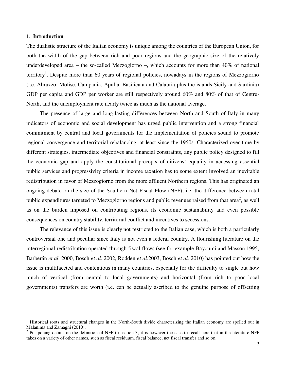#### **1. Introduction**

1

The dualistic structure of the Italian economy is unique among the countries of the European Union, for both the width of the gap between rich and poor regions and the geographic size of the relatively underdeveloped area – the so-called Mezzogiorno –, which accounts for more than 40% of national territory<sup>1</sup>. Despite more than 60 years of regional policies, nowadays in the regions of Mezzogiorno (i.e. Abruzzo, Molise, Campania, Apulia, Basilicata and Calabria plus the islands Sicily and Sardinia) GDP per capita and GDP per worker are still respectively around 60% and 80% of that of Centre-North, and the unemployment rate nearly twice as much as the national average.

The presence of large and long-lasting differences between North and South of Italy in many indicators of economic and social development has urged public intervention and a strong financial commitment by central and local governments for the implementation of policies sound to promote regional convergence and territorial rebalancing, at least since the 1950s. Characterized over time by different strategies, intermediate objectives and financial constraints, any public policy designed to fill the economic gap and apply the constitutional precepts of citizens' equality in accessing essential public services and progressivity criteria in income taxation has to some extent involved an inevitable redistribution in favor of Mezzogiorno from the more affluent Northern regions. This has originated an ongoing debate on the size of the Southern Net Fiscal Flow (NFF), i.e. the difference between total public expenditures targeted to Mezzogiorno regions and public revenues raised from that area<sup>2</sup>, as well as on the burden imposed on contributing regions, its economic sustainability and even possible consequences on country stability, territorial conflict and incentives to secessions.

The relevance of this issue is clearly not restricted to the Italian case, which is both a particularly controversial one and peculiar since Italy is not even a federal country. A flourishing literature on the interregional redistribution operated through fiscal flows (see for example Bayoumi and Masson 1995, Barberán *et al.* 2000, Bosch *et al.* 2002, Rodden *et al.*2003, Bosch *et al.* 2010) has pointed out how the issue is multifaceted and contentious in many countries, especially for the difficulty to single out how much of vertical (from central to local governments) and horizontal (from rich to poor local governments) transfers are worth (i.e. can be actually ascribed to the genuine purpose of offsetting

<sup>&</sup>lt;sup>1</sup> Historical roots and structural changes in the North-South divide characterizing the Italian economy are spelled out in Malanima and Zamagni (2010).<br><sup>2</sup> Postponing details on the definition of NFF to section 3, it is however the case to recall here that in the literature NFF

takes on a variety of other names, such as fiscal residuum, fiscal balance, net fiscal transfer and so on.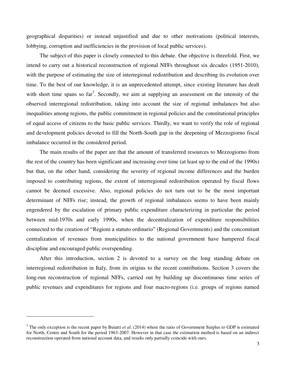geographical disparities) or instead unjustified and due to other motivations (political interests, lobbying, corruption and inefficiencies in the provision of local public services).

The subject of this paper is closely connected to this debate. Our objective is threefold. First, we intend to carry out a historical reconstruction of regional NFFs throughout six decades (1951-2010), with the purpose of estimating the size of interregional redistribution and describing its evolution over time. To the best of our knowledge, it is an unprecedented attempt, since existing literature has dealt with short time spans so far<sup>3</sup>. Secondly, we aim at supplying an assessment on the intensity of the observed interregional redistribution, taking into account the size of regional imbalances but also inequalities among regions, the public commitment in regional policies and the constitutional principles of equal access of citizens to the basic public services. Thirdly, we want to verify the role of regional and development policies devoted to fill the North-South gap in the deepening of Mezzogiorno fiscal imbalance occurred in the considered period.

The main results of the paper are that the amount of transferred resources to Mezzogiorno from the rest of the country has been significant and increasing over time (at least up to the end of the 1990s) but that, on the other hand, considering the severity of regional income differences and the burden imposed to contributing regions, the extent of interregional redistribution operated by fiscal flows cannot be deemed excessive. Also, regional policies do not turn out to be the most important determinant of NFFs rise; instead, the growth of regional imbalances seems to have been mainly engendered by the escalation of primary public expenditure characterizing in particular the period between mid-1970s and early 1990s, when the decentralization of expenditure responsibilities connected to the creation of "Regioni a statuto ordinario" (Regional Governments) and the concomitant centralization of revenues from municipalities to the national government have hampered fiscal discipline and encouraged public overspending.

After this introduction, section 2 is devoted to a survey on the long standing debate on interregional redistribution in Italy, from its origins to the recent contributions. Section 3 covers the long-run reconstruction of regional NFFs, carried out by building up discontinuous time series of public revenues and expenditures for regions and four macro-regions (i.e. groups of regions named

1

<sup>&</sup>lt;sup>3</sup> The only exception is the recent paper by Buiatti *et al.* (2014) where the ratio of Government Surplus to GDP is estimated for North, Centre and South for the period 1963-2007. However in that case the estimation method is based on an indirect reconstruction operated from national account data, and results only partially coincide with ours.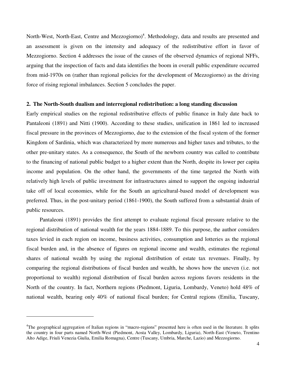North-West, North-East, Centre and Mezzogiorno)<sup>4</sup>. Methodology, data and results are presented and an assessment is given on the intensity and adequacy of the redistributive effort in favor of Mezzogiorno. Section 4 addresses the issue of the causes of the observed dynamics of regional NFFs, arguing that the inspection of facts and data identifies the boom in overall public expenditure occurred from mid-1970s on (rather than regional policies for the development of Mezzogiorno) as the driving force of rising regional imbalances. Section 5 concludes the paper.

#### **2. The North-South dualism and interregional redistribution: a long standing discussion**

Early empirical studies on the regional redistributive effects of public finance in Italy date back to Pantaleoni (1891) and Nitti (1900). According to these studies, unification in 1861 led to increased fiscal pressure in the provinces of Mezzogiorno, due to the extension of the fiscal system of the former Kingdom of Sardinia, which was characterized by more numerous and higher taxes and tributes, to the other pre-unitary states. As a consequence, the South of the newborn country was called to contribute to the financing of national public budget to a higher extent than the North, despite its lower per capita income and population. On the other hand, the governments of the time targeted the North with relatively high levels of public investment for infrastructures aimed to support the ongoing industrial take off of local economies, while for the South an agricultural-based model of development was preferred. Thus, in the post-unitary period (1861-1900), the South suffered from a substantial drain of public resources.

Pantaleoni (1891) provides the first attempt to evaluate regional fiscal pressure relative to the regional distribution of national wealth for the years 1884-1889. To this purpose, the author considers taxes levied in each region on income, business activities, consumption and lotteries as the regional fiscal burden and, in the absence of figures on regional income and wealth, estimates the regional shares of national wealth by using the regional distribution of estate tax revenues. Finally, by comparing the regional distributions of fiscal burden and wealth, he shows how the uneven (i.e. not proportional to wealth) regional distribution of fiscal burden across regions favors residents in the North of the country. In fact, Northern regions (Piedmont, Liguria, Lombardy, Veneto) hold 48% of national wealth, bearing only 40% of national fiscal burden; for Central regions (Emilia, Tuscany,

1

<sup>&</sup>lt;sup>4</sup>The geographical aggregation of Italian regions in "macro-regions" presented here is often used in the literature. It splits the country in four parts named North-West (Piedmont, Aosta Valley, Lombardy, Liguria), North-East (Veneto, Trentino Alto Adige, Friuli Venezia Giulia, Emilia Romagna), Centre (Tuscany, Umbria, Marche, Lazio) and Mezzogiorno.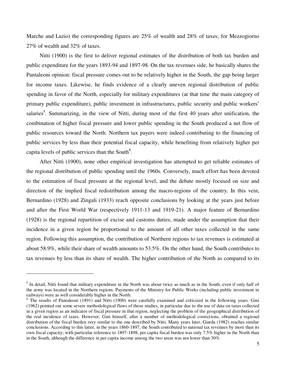Marche and Lazio) the corresponding figures are 25% of wealth and 28% of taxes; for Mezzogiorno 27% of wealth and 32% of taxes.

Nitti (1900) is the first to deliver regional estimates of the distribution of both tax burden and public expenditure for the years 1893-94 and 1897-98. On the tax revenues side, he basically shares the Pantaleoni opinion: fiscal pressure comes out to be relatively higher in the South, the gap being larger for income taxes. Likewise, he finds evidence of a clearly uneven regional distribution of public spending in favor of the North, especially for military expenditures (at that time the main category of primary public expenditure), public investment in infrastructures, public security and public workers' salaries<sup>5</sup>. Summarizing, in the view of Nitti, during most of the first 40 years after unification, the combination of higher fiscal pressure and lower public spending in the South produced a net flow of public resources toward the North. Northern tax payers were indeed contributing to the financing of public services by less than their potential fiscal capacity, while benefiting from relatively higher per capita levels of public services than the South<sup>6</sup>.

After Nitti (1900), none other empirical investigation has attempted to get reliable estimates of the regional distribution of public spending until the 1960s. Conversely, much effort has been devoted to the estimation of fiscal pressure at the regional level, and the debate mostly focused on size and direction of the implied fiscal redistribution among the macro-regions of the country. In this vein, Bernardino (1928) and Zingali (1933) reach opposite conclusions by looking at the years just before and after the First World War (respectively 1911-13 and 1919-21). A major feature of Bernardino (1928) is the regional repartition of excise and customs duties, made under the assumption that their incidence in a given region be proportional to the amount of all other taxes collected in the same region. Following this assumption, the contribution of Northern regions to tax revenues is estimated at about 58.9%, while their share of wealth amounts to 53.5%. On the other hand, the South contributes to tax revenues by less than its share of wealth. The higher contribution of the North as compared to its

 $\overline{a}$ 

<sup>&</sup>lt;sup>5</sup> In detail, Nitti found that military expenditure in the North was about twice as much as in the South, even if only half of the army was located in the Northern regions. Payments of the Ministry for Public Works (including public investment in railways) were as well considerably higher in the North.

<sup>&</sup>lt;sup>6</sup> The results of Pantaleoni (1891) and Nitti (1900) were carefully examined and criticized in the following years. Gini (1962) pointed out some severe methodological flaws of those studies, in particular due to the use of data on taxes collected in a given region as an indicator of fiscal pressure in that region, neglecting the problem of the geographical distribution of the real incidence of taxes. However, Gini himself, after a number of methodological corrections, obtained a regional distribution of the fiscal burden very similar to the one described by Nitti. Many years later, Giarda (1982) reaches similar conclusions. According to this latter, in the years 1860-1897, the South contributed to national tax revenues by more than its own fiscal capacity; with particular reference to 1897-1898, per capita fiscal burden was only 7.5% higher in the North than in the South, although the difference in per capita income among the two areas was not lower than 30%.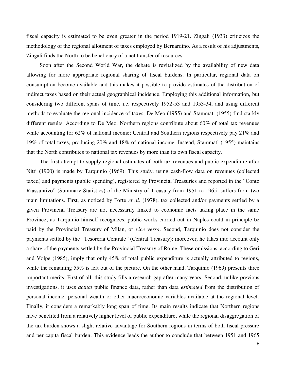fiscal capacity is estimated to be even greater in the period 1919-21. Zingali (1933) criticizes the methodology of the regional allotment of taxes employed by Bernardino. As a result of his adjustments, Zingali finds the North to be beneficiary of a net transfer of resources.

Soon after the Second World War, the debate is revitalized by the availability of new data allowing for more appropriate regional sharing of fiscal burdens. In particular, regional data on consumption become available and this makes it possible to provide estimates of the distribution of indirect taxes based on their actual geographical incidence. Employing this additional information, but considering two different spans of time, i.e. respectively 1952-53 and 1953-34, and using different methods to evaluate the regional incidence of taxes, De Meo (1955) and Stammati (1955) find starkly different results. According to De Meo, Northern regions contribute about 60% of total tax revenues while accounting for 62% of national income; Central and Southern regions respectively pay 21% and 19% of total taxes, producing 20% and 18% of national income. Instead, Stammati (1955) maintains that the North contributes to national tax revenues by more than its own fiscal capacity.

The first attempt to supply regional estimates of both tax revenues and public expenditure after Nitti (1900) is made by Tarquinio (1969). This study, using cash-flow data on revenues (collected taxed) and payments (public spending), registered by Provincial Treasuries and reported in the "Conto Riassuntivo" (Summary Statistics) of the Ministry of Treasury from 1951 to 1965, suffers from two main limitations. First, as noticed by Forte *et al.* (1978), tax collected and/or payments settled by a given Provincial Treasury are not necessarily linked to economic facts taking place in the same Province; as Tarquinio himself recognizes, public works carried out in Naples could in principle be paid by the Provincial Treasury of Milan, or *vice versa*. Second, Tarquinio does not consider the payments settled by the "Tesoreria Centrale" (Central Treasury); moreover, he takes into account only a share of the payments settled by the Provincial Treasury of Rome. These omissions, according to Geri and Volpe (1985), imply that only 45% of total public expenditure is actually attributed to regions, while the remaining 55% is left out of the picture. On the other hand, Tarquinio (1969) presents three important merits. First of all, this study fills a research gap after many years. Second, unlike previous investigations, it uses *actual* public finance data, rather than data *estimated* from the distribution of personal income, personal wealth or other macroeconomic variables available at the regional level. Finally, it considers a remarkably long span of time. Its main results indicate that Northern regions have benefited from a relatively higher level of public expenditure, while the regional disaggregation of the tax burden shows a slight relative advantage for Southern regions in terms of both fiscal pressure and per capita fiscal burden. This evidence leads the author to conclude that between 1951 and 1965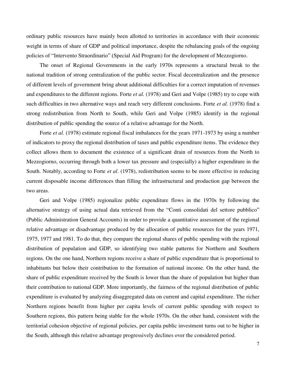ordinary public resources have mainly been allotted to territories in accordance with their economic weight in terms of share of GDP and political importance, despite the rebalancing goals of the ongoing policies of "Intervento Straordinario" (Special Aid Program) for the development of Mezzogiorno.

The onset of Regional Governments in the early 1970s represents a structural break to the national tradition of strong centralization of the public sector. Fiscal decentralization and the presence of different levels of government bring about additional difficulties for a correct imputation of revenues and expenditures to the different regions. Forte *et al.* (1978) and Geri and Volpe (1985) try to cope with such difficulties in two alternative ways and reach very different conclusions. Forte *et al.* (1978) find a strong redistribution from North to South, while Geri and Volpe (1985) identify in the regional distribution of public spending the source of a relative advantage for the North.

Forte *et al.* (1978) estimate regional fiscal imbalances for the years 1971-1973 by using a number of indicators to proxy the regional distribution of taxes and public expenditure items. The evidence they collect allows them to document the existence of a significant drain of resources from the North to Mezzogiorno, occurring through both a lower tax pressure and (especially) a higher expenditure in the South. Notably, according to Forte *et al*. (1978), redistribution seems to be more effective in reducing current disposable income differences than filling the infrastructural and production gap between the two areas.

Geri and Volpe (1985) regionalize public expenditure flows in the 1970s by following the alternative strategy of using actual data retrieved from the "Conti consolidati del settore pubblico" (Public Administration General Accounts) in order to provide a quantitative assessment of the regional relative advantage or disadvantage produced by the allocation of public resources for the years 1971, 1975, 1977 and 1981. To do that, they compare the regional shares of public spending with the regional distribution of population and GDP, so identifying two stable patterns for Northern and Southern regions. On the one hand, Northern regions receive a share of public expenditure that is proportional to inhabitants but below their contribution to the formation of national income. On the other hand, the share of public expenditure received by the South is lower than the share of population but higher than their contribution to national GDP. More importantly, the fairness of the regional distribution of public expenditure is evaluated by analyzing disaggregated data on current and capital expenditure. The richer Northern regions benefit from higher per capita levels of current public spending with respect to Southern regions, this pattern being stable for the whole 1970s. On the other hand, consistent with the territorial cohesion objective of regional policies, per capita public investment turns out to be higher in the South, although this relative advantage progressively declines over the considered period.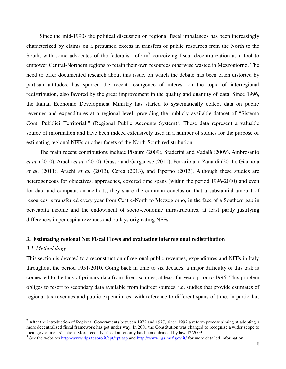Since the mid-1990s the political discussion on regional fiscal imbalances has been increasingly characterized by claims on a presumed excess in transfers of public resources from the North to the South, with some advocates of the federalist reform<sup>7</sup> conceiving fiscal decentralization as a tool to empower Central-Northern regions to retain their own resources otherwise wasted in Mezzogiorno. The need to offer documented research about this issue, on which the debate has been often distorted by partisan attitudes, has spurred the recent resurgence of interest on the topic of interregional redistribution, also favored by the great improvement in the quality and quantity of data. Since 1996, the Italian Economic Development Ministry has started to systematically collect data on public revenues and expenditures at a regional level, providing the publicly available dataset of "Sistema Conti Pubblici Territoriali" (Regional Public Accounts System)<sup>8</sup>. These data represent a valuable source of information and have been indeed extensively used in a number of studies for the purpose of estimating regional NFFs or other facets of the North-South redistribution.

The main recent contributions include Pisauro (2009), Staderini and Vadalà (2009), Ambrosanio *et al*. (2010), Arachi *et al*. (2010), Grasso and Garganese (2010), Ferrario and Zanardi (2011), Giannola *et al*. (2011), Arachi *et al.* (2013), Cerea (2013), and Piperno (2013). Although these studies are heterogeneous for objectives, approaches, covered time spans (within the period 1996-2010) and even for data and computation methods, they share the common conclusion that a substantial amount of resources is transferred every year from Centre-North to Mezzogiorno, in the face of a Southern gap in per-capita income and the endowment of socio-economic infrastructures, at least partly justifying differences in per capita revenues and outlays originating NFFs.

#### **3. Estimating regional Net Fiscal Flows and evaluating interregional redistribution**

#### *3.1. Methodology*

l

This section is devoted to a reconstruction of regional public revenues, expenditures and NFFs in Italy throughout the period 1951-2010. Going back in time to six decades, a major difficulty of this task is connected to the lack of primary data from direct sources, at least for years prior to 1996. This problem obliges to resort to secondary data available from indirect sources, i.e. studies that provide estimates of regional tax revenues and public expenditures, with reference to different spans of time. In particular,

 $^7$  After the introduction of Regional Governments between 1972 and 1977, since 1992 a reform process aiming at adopting a more decentralized fiscal framework has got under way. In 2001 the Constitution was changed to recognize a wider scope to local governments' action. More recently, fiscal autonomy has been enhanced by law 42/2009.

<sup>&</sup>lt;sup>8</sup> See the websites<http://www.dps.tesoro.it/cpt/cpt.asp>and<http://www.rgs.mef.gov.it/>for more detailed information.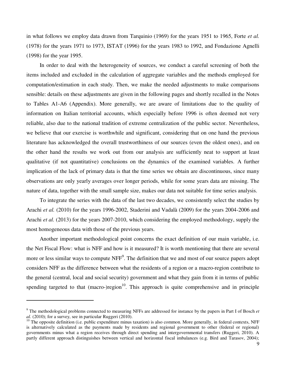in what follows we employ data drawn from Tarquinio (1969) for the years 1951 to 1965, Forte *et al.*  (1978) for the years 1971 to 1973, ISTAT (1996) for the years 1983 to 1992, and Fondazione Agnelli (1998) for the year 1995.

In order to deal with the heterogeneity of sources, we conduct a careful screening of both the items included and excluded in the calculation of aggregate variables and the methods employed for computation/estimation in each study. Then, we make the needed adjustments to make comparisons sensible: details on these adjustments are given in the following pages and shortly recalled in the Notes to Tables A1-A6 (Appendix). More generally, we are aware of limitations due to the quality of information on Italian territorial accounts, which especially before 1996 is often deemed not very reliable, also due to the national tradition of extreme centralization of the public sector. Nevertheless, we believe that our exercise is worthwhile and significant, considering that on one hand the previous literature has acknowledged the overall trustworthiness of our sources (even the oldest ones), and on the other hand the results we work out from our analysis are sufficiently neat to support at least qualitative (if not quantitative) conclusions on the dynamics of the examined variables. A further implication of the lack of primary data is that the time series we obtain are discontinuous, since many observations are only yearly averages over longer periods, while for some years data are missing. The nature of data, together with the small sample size, makes our data not suitable for time series analysis.

To integrate the series with the data of the last two decades, we consistently select the studies by Arachi *et al.* (2010) for the years 1996-2002, Staderini and Vadalà (2009) for the years 2004-2006 and Arachi *et al.* (2013) for the years 2007-2010, which considering the employed methodology, supply the most homogeneous data with those of the previous years.

Another important methodological point concerns the exact definition of our main variable, i.e. the Net Fiscal Flow: what is NFF and how is it measured? It is worth mentioning that there are several more or less similar ways to compute NFF<sup>9</sup>. The definition that we and most of our source papers adopt considers NFF as the difference between what the residents of a region or a macro-region contribute to the general (central, local and social security) government and what they gain from it in terms of public spending targeted to that (macro-)region<sup>10</sup>. This approach is quite comprehensive and in principle

 $\overline{a}$ 

<sup>9</sup> The methodological problems connected to measuring NFFs are addressed for instance by the papers in Part I of Bosch *et al.* (2010); for a survey, see in particular Ruggeri (2010).

<sup>&</sup>lt;sup>10</sup> The opposite definition (i.e. public expenditure minus taxation) is also common. More generally, in federal contexts, NFF is alternatively calculated as the payments made by residents and regional government to other (federal or regional) governments minus what a region receives through direct spending and intergovernmental transfers (Ruggeri, 2010). A partly different approach distinguishes between vertical and horizontal fiscal imbalances (e.g. Bird and Tarasov, 2004);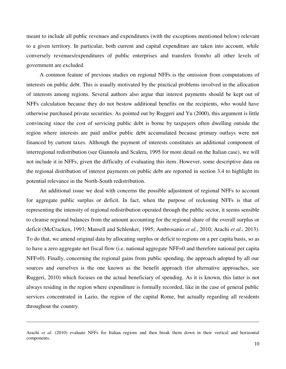meant to include all public revenues and expenditures (with the exceptions mentioned below) relevant to a given territory. In particular, both current and capital expenditure are taken into account, while conversely revenues/expenditures of public enterprises and transfers from/to all other levels of government are excluded.

A common feature of previous studies on regional NFFs is the omission from computations of interests on public debt. This is usually motivated by the practical problems involved in the allocation of interests among regions. Several authors also argue that interest payments should be kept out of NFFs calculation because they do not bestow additional benefits on the recipients, who would have otherwise purchased private securities. As pointed out by Ruggeri and Yu (2000), this argument is little convincing since the cost of servicing public debt is borne by taxpayers often dwelling outside the region where interests are paid and/or public debt accumulated because primary outlays were not financed by current taxes. Although the payment of interests constitutes an additional component of interregional redistribution (see Giannola and Scalera, 1995 for more detail on the Italian case), we will not include it in NFFs, given the difficulty of evaluating this item. However, some descriptive data on the regional distribution of interest payments on public debt are reported in section 3.4 to highlight its potential relevance in the North-South redistribution.

An additional issue we deal with concerns the possible adjustment of regional NFFs to account for aggregate public surplus or deficit. In fact, when the purpose of reckoning NFFs is that of representing the intensity of regional redistribution operated through the public sector, it seems sensible to cleanse regional balances from the amount accounting for the regional share of the overall surplus or deficit (McCracken, 1993; Mansell and Schlenker, 1995; Ambrosanio *et al.*, 2010; Arachi *et al.*, 2013). To do that, we amend original data by allocating surplus or deficit to regions on a per capita basis, so as to have a zero aggregate net fiscal flow (i.e. national aggregate NFF=0 and therefore national per capita NFF=0). Finally, concerning the regional gains from public spending, the approach adopted by all our sources and ourselves is the one known as the benefit approach (for alternative approaches, see Ruggeri, 2010) which focuses on the actual beneficiary of spending. As it is known, this latter is not always residing in the region where expenditure is formally recorded, like in the case of general public services concentrated in Lazio, the region of the capital Rome, but actually regarding all residents throughout the country.

 $\overline{a}$ 

Arachi *et al*. (2010) evaluate NFFs for Italian regions and then break them down in their vertical and horizontal components.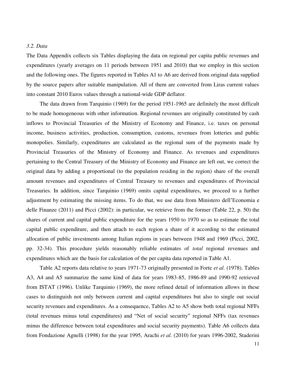#### *3.2. Data*

The Data Appendix collects six Tables displaying the data on regional per capita public revenues and expenditures (yearly averages on 11 periods between 1951 and 2010) that we employ in this section and the following ones. The figures reported in Tables A1 to A6 are derived from original data supplied by the source papers after suitable manipulation. All of them are converted from Liras current values into constant 2010 Euros values through a national-wide GDP deflator.

The data drawn from Tarquinio (1969) for the period 1951-1965 are definitely the most difficult to be made homogeneous with other information. Regional revenues are originally constituted by cash inflows to Provincial Treasuries of the Ministry of Economy and Finance, i.e. taxes on personal income, business activities, production, consumption, customs, revenues from lotteries and public monopolies. Similarly, expenditures are calculated as the regional sum of the payments made by Provincial Treasuries of the Ministry of Economy and Finance. As revenues and expenditures pertaining to the Central Treasury of the Ministry of Economy and Finance are left out, we correct the original data by adding a proportional (to the population residing in the region) share of the overall amount revenues and expenditures of Central Treasury to revenues and expenditures of Provincial Treasuries. In addition, since Tarquinio (1969) omits capital expenditures, we proceed to a further adjustment by estimating the missing items. To do that, we use data from Ministero dell'Economia e delle Finanze (2011) and Picci (2002): in particular, we retrieve from the former (Table 22, p. 50) the shares of current and capital public expenditure for the years 1950 to 1970 so as to estimate the total capital public expenditure, and then attach to each region a share of it according to the estimated allocation of public investments among Italian regions in years between 1948 and 1969 (Picci, 2002, pp. 32-34). This procedure yields reasonably reliable estimates of *total* regional revenues and expenditures which are the basis for calculation of the per capita data reported in Table A1.

Table A2 reports data relative to years 1971-73 originally presented in Forte *et al.* (1978). Tables A3, A4 and A5 summarize the same kind of data for years 1983-85, 1986-89 and 1990-92 retrieved from ISTAT (1996). Unlike Tarquinio (1969), the more refined detail of information allows in these cases to distinguish not only between current and capital expenditures but also to single out social security revenues and expenditures. As a consequence, Tables A2 to A5 show both total regional NFFs (total revenues minus total expenditures) and "Net of social security" regional NFFs (tax revenues minus the difference between total expenditures and social security payments). Table A6 collects data from Fondazione Agnelli (1998) for the year 1995, Arachi *et al.* (2010) for years 1996-2002, Staderini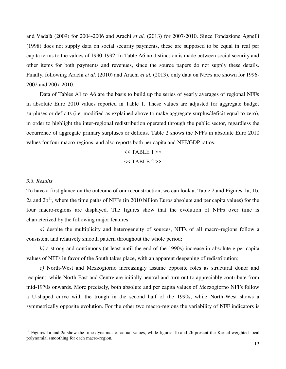and Vadalà (2009) for 2004-2006 and Arachi *et al.* (2013) for 2007-2010. Since Fondazione Agnelli (1998) does not supply data on social security payments, these are supposed to be equal in real per capita terms to the values of 1990-1992. In Table A6 no distinction is made between social security and other items for both payments and revenues, since the source papers do not supply these details. Finally, following Arachi *et al.* (2010) and Arachi *et al.* (2013), only data on NFFs are shown for 1996- 2002 and 2007-2010.

Data of Tables A1 to A6 are the basis to build up the series of yearly averages of regional NFFs in absolute Euro 2010 values reported in Table 1. These values are adjusted for aggregate budget surpluses or deficits (i.e. modified as explained above to make aggregate surplus/deficit equal to zero), in order to highlight the inter-regional redistribution operated through the public sector, regardless the occurrence of aggregate primary surpluses or deficits. Table 2 shows the NFFs in absolute Euro 2010 values for four macro-regions, and also reports both per capita and NFF/GDP ratios.

#### $<<$  TABLE 1 >>

 $<<$  TABLE 2 >>

#### *3.3. Results*

.

To have a first glance on the outcome of our reconstruction, we can look at Table 2 and Figures 1a, 1b, 2a and  $2b<sup>11</sup>$ , where the time paths of NFFs (in 2010 billion Euros absolute and per capita values) for the four macro-regions are displayed. The figures show that the evolution of NFFs over time is characterized by the following major features:

*a)* despite the multiplicity and heterogeneity of sources, NFFs of all macro-regions follow a consistent and relatively smooth pattern throughout the whole period;

*b)* a strong and continuous (at least until the end of the 1990s) increase in absolute e per capita values of NFFs in favor of the South takes place, with an apparent deepening of redistribution;

*c)* North-West and Mezzogiorno increasingly assume opposite roles as structural donor and recipient, while North-East and Centre are initially neutral and turn out to appreciably contribute from mid-1970s onwards. More precisely, both absolute and per capita values of Mezzogiorno NFFs follow a U-shaped curve with the trough in the second half of the 1990s, while North-West shows a symmetrically opposite evolution. For the other two macro-regions the variability of NFF indicators is

 $11$  Figures 1a and 2a show the time dynamics of actual values, while figures 1b and 2b present the Kernel-weighted local polynomial smoothing for each macro-region.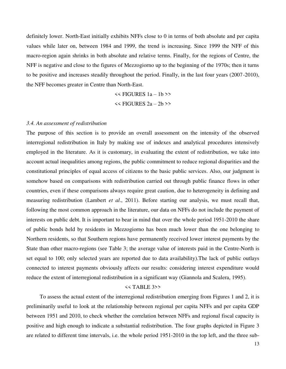definitely lower. North-East initially exhibits NFFs close to 0 in terms of both absolute and per capita values while later on, between 1984 and 1999, the trend is increasing. Since 1999 the NFF of this macro-region again shrinks in both absolute and relative terms. Finally, for the regions of Centre, the NFF is negative and close to the figures of Mezzogiorno up to the beginning of the 1970s; then it turns to be positive and increases steadily throughout the period. Finally, in the last four years (2007-2010), the NFF becomes greater in Centre than North-East.

> $<<$  FIGURES  $1a - 1b$  >> << FIGURES 2a – 2b >>

#### *3.4. An assessment of redistribution*

The purpose of this section is to provide an overall assessment on the intensity of the observed interregional redistribution in Italy by making use of indexes and analytical procedures intensively employed in the literature. As it is customary, in evaluating the extent of redistribution, we take into account actual inequalities among regions, the public commitment to reduce regional disparities and the constitutional principles of equal access of citizens to the basic public services. Also, our judgment is somehow based on comparisons with redistribution carried out through public finance flows in other countries, even if these comparisons always require great caution, due to heterogeneity in defining and measuring redistribution (Lambert *et al*., 2011). Before starting our analysis, we must recall that, following the most common approach in the literature, our data on NFFs do not include the payment of interests on public debt. It is important to bear in mind that over the whole period 1951-2010 the share of public bonds held by residents in Mezzogiorno has been much lower than the one belonging to Northern residents, so that Southern regions have permanently received lower interest payments by the State than other macro-regions (see Table 3; the average value of interests paid in the Centre-North is set equal to 100; only selected years are reported due to data availability).The lack of public outlays connected to interest payments obviously affects our results: considering interest expenditure would reduce the extent of interregional redistribution in a significant way (Giannola and Scalera, 1995).

#### << TABLE 3>>

To assess the actual extent of the interregional redistribution emerging from Figures 1 and 2, it is preliminarily useful to look at the relationship between regional per capita NFFs and per capita GDP between 1951 and 2010, to check whether the correlation between NFFs and regional fiscal capacity is positive and high enough to indicate a substantial redistribution. The four graphs depicted in Figure 3 are related to different time intervals, i.e. the whole period 1951-2010 in the top left, and the three sub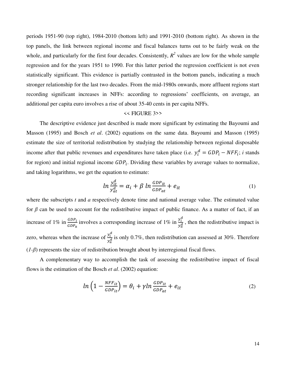periods 1951-90 (top right), 1984-2010 (bottom left) and 1991-2010 (bottom right). As shown in the top panels, the link between regional income and fiscal balances turns out to be fairly weak on the whole, and particularly for the first four decades. Consistently,  $R^2$  values are low for the whole sample regression and for the years 1951 to 1990. For this latter period the regression coefficient is not even statistically significant. This evidence is partially contrasted in the bottom panels, indicating a much stronger relationship for the last two decades. From the mid-1980s onwards, more affluent regions start recording significant increases in NFFs: according to regressions' coefficients, on average, an additional per capita euro involves a rise of about 35-40 cents in per capita NFFs.

#### << FIGURE 3>>

The descriptive evidence just described is made more significant by estimating the Bayoumi and Masson (1995) and Bosch *et al*. (2002) equations on the same data. Bayoumi and Masson (1995) estimate the size of territorial redistribution by studying the relationship between regional disposable income after that public revenues and expenditures have taken place (i.e.  $y_i^d = GDP_i - NFF_i$ ; *i* stands for region) and initial regional income  $GDP_i$ . Dividing these variables by average values to normalize, and taking logarithms, we get the equation to estimate:

$$
\ln \frac{y_{it}^d}{y_{at}^d} = \alpha_i + \beta \ln \frac{GDP_{it}}{GDP_{at}} + e_{it}
$$
 (1)

where the subscripts *t* and *a* respectively denote time and national average value. The estimated value for  $\beta$  can be used to account for the redistributive impact of public finance. As a matter of fact, if an increase of 1% in  $\frac{GDP_i}{GDP_i}$  $GDP_a$ involves a corresponding increase of 1% in  $\frac{y_i^d}{dt}$  $\frac{y_i}{y_a^d}$ , then the redistributive impact is zero, whereas when the increase of  $\frac{y_i^d}{d}$  $\frac{y_i}{y_d^d}$  is only 0.7%, then redistribution can assessed at 30%. Therefore (*1-β*) represents the size of redistribution brought about by interregional fiscal flows.

A complementary way to accomplish the task of assessing the redistributive impact of fiscal flows is the estimation of the Bosch *et al*. (2002) equation:

$$
ln\left(1 - \frac{NFF_{it}}{GDP_{it}}\right) = \theta_i + \gamma ln \frac{GDP_{it}}{GDP_{at}} + e_{it}
$$
\n(2)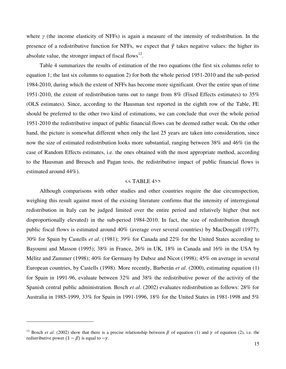where *γ* (the income elasticity of NFFs) is again a measure of the intensity of redistribution. In the presence of a redistributive function for NFFs, we expect that  $\hat{y}$  takes negative values: the higher its absolute value, the stronger impact of fiscal flows $^{12}$ .

Table 4 summarizes the results of estimation of the two equations (the first six columns refer to equation 1; the last six columns to equation 2) for both the whole period 1951-2010 and the sub-period 1984-2010, during which the extent of NFFs has become more significant. Over the entire span of time 1951-2010, the extent of redistribution turns out to range from 8% (Fixed Effects estimates) to 35% (OLS estimates). Since, according to the Hausman test reported in the eighth row of the Table, FE should be preferred to the other two kind of estimations, we can conclude that over the whole period 1951-2010 the redistributive impact of public financial flows can be deemed rather weak. On the other hand, the picture is somewhat different when only the last 25 years are taken into consideration, since now the size of estimated redistribution looks more substantial, ranging between 38% and 46% (in the case of Random Effects estimates, i.e. the ones obtained with the most appropriate method, according to the Hausman and Breusch and Pagan tests, the redistributive impact of public financial flows is estimated around 44%).

#### $<<$  TABLE 4>>

Although comparisons with other studies and other countries require the due circumspection, weighing this result against most of the existing literature confirms that the intensity of interregional redistribution in Italy can be judged limited over the entire period and relatively higher (but not disproportionally elevated) in the sub-period 1984-2010. In fact, the size of redistribution through public fiscal flows is estimated around 40% (average over several countries) by MacDougall (1977); 30% for Spain by Castells *et al*. (1981); 39% for Canada and 22% for the United States according to Bayoumi and Masson (1995); 38% in France, 26% in UK, 18% in Canada and 16% in the USA by Mélitz and Zummer (1998); 40% for Germany by Duboz and Nicot (1998); 45% on average in several European countries, by Castells (1998). More recently, Barberán *et al*. (2000), estimating equation (1) for Spain in 1991-96, evaluate between 32% and 38% the redistributive power of the activity of the Spanish central public administration. Bosch *et al*. (2002) evaluates redistribution as follows: 28% for Australia in 1985-1999, 33% for Spain in 1991-1996, 18% for the United States in 1981-1998 and 5%

.

<sup>&</sup>lt;sup>12</sup> Bosch *et al.* (2002) show that there is a precise relationship between  $\beta$  of equation (1) and  $\gamma$  of equation (2), i.e. the redistributive power  $(1 - \beta)$  is equal to  $-\gamma$ .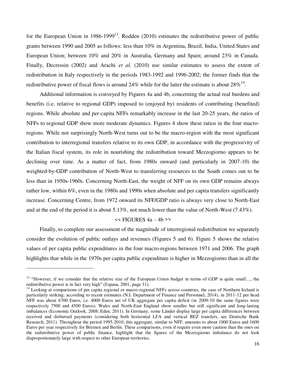for the European Union in  $1986-1999^{13}$ . Rodden (2010) estimates the redistributive power of public grants between 1990 and 2005 as follows: less than 10% in Argentina, Brazil, India, United States and European Union; between 10% and 20% in Australia, Germany and Spain; around 23% in Canada. Finally, Decressin (2002) and Arachi *et al.* (2010) use similar estimates to assess the extent of redistribution in Italy respectively in the periods 1983-1992 and 1996-2002; the former finds that the redistributive power of fiscal flows is around 24% while for the latter the estimate is about  $28\%^{14}$ .

Additional information is conveyed by Figures 4a and 4b, concerning the actual real burdens and benefits (i.e. relative to regional GDP) imposed to (enjoyed by) residents of contributing (benefited) regions. While absolute and per-capita NFFs remarkably increase in the last 20-25 years, the ratios of NFFs to regional GDP show more moderate dynamics. Figures 4 show these ratios in the four macroregions. While not surprisingly North-West turns out to be the macro-region with the most significant contribution to interregional transfers relative to its own GDP, in accordance with the progressivity of the Italian fiscal system, its role in nourishing the redistribution toward Mezzogiorno appears to be declining over time. As a matter of fact, from 1980s onward (and particularly in 2007-10) the weighted-by-GDP contribution of North-West to transferring resources to the South comes out to be less than in 1950s-1960s. Concerning North-East, the weight of NFF on its own GDP remains always rather low, within 6%, even in the 1980s and 1990s when absolute and per capita transfers significantly increase. Concerning Centre, from 1972 onward its NFF/GDP ratio is always very close to North-East and at the end of the period it is about 5.13%, not much lower than the value of North-West (7.43%).

#### $<<$  FIGURES  $4a - 4b$  >>

Finally, to complete our assessment of the magnitude of interregional redistribution we separately consider the evolution of public outlays and revenues (Figures 5 and 6). Figure 5 shows the relative values of per capita public expenditures in the four macro-regions between 1971 and 2006. The graph highlights that while in the 1970s per capita public expenditure is higher in Mezzogiorno than in all the

 $\overline{a}$ 

<sup>&</sup>lt;sup>13</sup> "However, if we consider that the relative size of the European Union budget in terms of GDP is quite small..., the redistributive power is in fact very high" (Espasa, 2001, page 31).

<sup>&</sup>lt;sup>14</sup> Looking at comparisons of per capita regional or macro-regional NFFs across countries, the case of Northern Ireland is particularly striking: according to recent estimates (N.I. Department of Finance and Personnel, 2014), in 2011-12 per head NFF was about 6700 Euros, i.e. 4000 Euros net of UK aggregate per capita deficit (in 2009-10 the same figures were respectively 7500 and 4500 Euros). Wales and North-East England show smaller but still significant and long-lasting imbalances (Economic Outlook, 2008; Eden, 2011). In Germany, some Länder display large per capita differences between received and disbursed payments (considering both horizontal LFA and vertical BEZ transfers, see Deutsche Bank Research, 2011). Throughout the period 1995-2010, this aggregate, similar to NFF, amounts to about 1800 Euros and 1600 Euros per year respectively for Bremen and Berlin. These comparisons, even if require even more caution than the ones on the redistributive power of public finance, highlight that the figures of the Mezzogiorno imbalance do not look disproportionately large with respect to other European territories.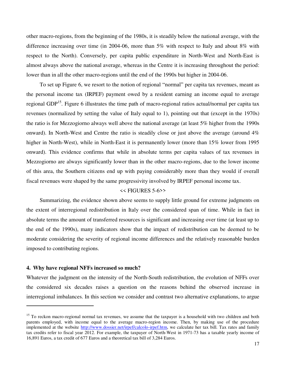other macro-regions, from the beginning of the 1980s, it is steadily below the national average, with the difference increasing over time (in 2004-06, more than 5% with respect to Italy and about 8% with respect to the North). Conversely, per capita public expenditure in North-West and North-East is almost always above the national average, whereas in the Centre it is increasing throughout the period: lower than in all the other macro-regions until the end of the 1990s but higher in 2004-06.

To set up Figure 6, we resort to the notion of regional "normal" per capita tax revenues, meant as the personal income tax (IRPEF) payment owed by a resident earning an income equal to average regional GDP<sup>15</sup>. Figure 6 illustrates the time path of macro-regional ratios actual/normal per capita tax revenues (normalized by setting the value of Italy equal to 1), pointing out that (except in the 1970s) the ratio is for Mezzogiorno always well above the national average (at least 5% higher from the 1990s onward). In North-West and Centre the ratio is steadily close or just above the average (around 4% higher in North-West), while in North-East it is permanently lower (more than 15% lower from 1995 onward). This evidence confirms that while in absolute terms per capita values of tax revenues in Mezzogiorno are always significantly lower than in the other macro-regions, due to the lower income of this area, the Southern citizens end up with paying considerably more than they would if overall fiscal revenues were shaped by the same progressivity involved by IRPEF personal income tax.

#### << FIGURES 5-6>>

Summarizing, the evidence shown above seems to supply little ground for extreme judgments on the extent of interregional redistribution in Italy over the considered span of time. While in fact in absolute terms the amount of transferred resources is significant and increasing over time (at least up to the end of the 1990s), many indicators show that the impact of redistribution can be deemed to be moderate considering the severity of regional income differences and the relatively reasonable burden imposed to contributing regions.

#### **4. Why have regional NFFs increased so much?**

 $\overline{a}$ 

Whatever the judgment on the intensity of the North-South redistribution, the evolution of NFFs over the considered six decades raises a question on the reasons behind the observed increase in interregional imbalances. In this section we consider and contrast two alternative explanations, to argue

 $15$  To reckon macro-regional normal tax revenues, we assume that the taxpayer is a household with two children and both parents employed, with income equal to the average macro-region income. Then, by making use of the procedure implemented at the website [http://www.dossier.net/irpef/calcolo-irpef.htm,](http://www.dossier.net/irpef/calcolo-irpef.htm) we calculate her tax bill. Tax rates and family tax credits refer to fiscal year 2012. For example, the taxpayer of North-West in 1971-73 has a taxable yearly income of 16,891 Euros, a tax credit of 677 Euros and a theoretical tax bill of 3,284 Euros.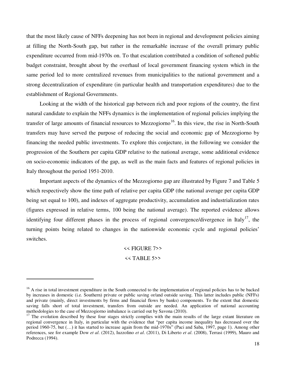that the most likely cause of NFFs deepening has not been in regional and development policies aiming at filling the North-South gap, but rather in the remarkable increase of the overall primary public expenditure occurred from mid-1970s on. To that escalation contributed a condition of softened public budget constraint, brought about by the overhaul of local government financing system which in the same period led to more centralized revenues from municipalities to the national government and a strong decentralization of expenditure (in particular health and transportation expenditures) due to the establishment of Regional Governments.

Looking at the width of the historical gap between rich and poor regions of the country, the first natural candidate to explain the NFFs dynamics is the implementation of regional policies implying the transfer of large amounts of financial resources to Mezzogiorno<sup>16</sup>. In this view, the rise in North-South transfers may have served the purpose of reducing the social and economic gap of Mezzogiorno by financing the needed public investments. To explore this conjecture, in the following we consider the progression of the Southern per capita GDP relative to the national average, some additional evidence on socio-economic indicators of the gap, as well as the main facts and features of regional policies in Italy throughout the period 1951-2010.

Important aspects of the dynamics of the Mezzogiorno gap are illustrated by Figure 7 and Table 5 which respectively show the time path of relative per capita GDP (the national average per capita GDP being set equal to 100), and indexes of aggregate productivity, accumulation and industrialization rates (figures expressed in relative terms, 100 being the national average). The reported evidence allows identifying four different phases in the process of regional convergence/divergence in Italy<sup>17</sup>, the turning points being related to changes in the nationwide economic cycle and regional policies' switches.

<< FIGURE 7>>

#### $<<$  TABLE 5>>

1

 $16$  A rise in total investment expenditure in the South connected to the implementation of regional policies has to be backed by increases in domestic (i.e. Southern) private or public saving or/and outside saving. This latter includes public (NFFs) and private (mainly, direct investments by firms and financial flows by banks) components. To the extent that domestic saving falls short of total investment, transfers from outside are needed. An application of national accounting methodologies to the case of Mezzogiorno imbalance is carried out by Savona (2010).

<sup>&</sup>lt;sup>17</sup> The evolution described by these four stages strictly complies with the main results of the large extant literature on regional convergence in Italy, in particular with the evidence that "per capita income inequality has decreased over the period 1960-75, but (…) it has started to increase again from the mid-1970s" (Paci and Saba, 1997, page 1). Among other references, see for example Dow *et al*. (2012), Iuzzolino *et al*. (2011), Di Liberto *et al*. (2008), Terrasi (1999), Mauro and Podrecca (1994).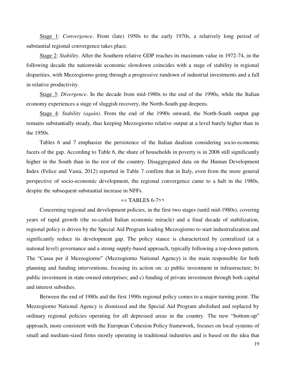Stage 1: *Convergence*. From (late) 1950s to the early 1970s, a relatively long period of substantial regional convergence takes place.

Stage 2: *Stability*. After the Southern relative GDP reaches its maximum value in 1972-74, in the following decade the nationwide economic slowdown coincides with a stage of stability in regional disparities, with Mezzogiorno going through a progressive rundown of industrial investments and a fall in relative productivity.

Stage 3: *Divergence*. In the decade from mid-1980s to the end of the 1990s, while the Italian economy experiences a stage of sluggish recovery, the North-South gap deepens.

Stage 4: *Stability (again)*. From the end of the 1990s onward, the North-South output gap remains substantially steady, thus keeping Mezzogiorno relative output at a level barely higher than in the 1950s.

Tables 6 and 7 emphasize the persistence of the Italian dualism considering socio-economic facets of the gap. According to Table 6, the share of households in poverty is in 2008 still significantly higher in the South than in the rest of the country. Disaggregated data on the Human Development Index (Felice and Vasta, 2012) reported in Table 7 confirm that in Italy, even from the more general perspective of socio-economic development, the regional convergence came to a halt in the 1980s, despite the subsequent substantial increase in NFFs.

#### << TABLES 6-7>>

Concerning regional and development policies, in the first two stages (until mid-1980s), covering years of rapid growth (the so-called Italian economic miracle) and a final decade of stabilization, regional policy is driven by the Special Aid Program leading Mezzogiorno to start industrialization and significantly reduce its development gap. The policy stance is characterized by centralized (at a national level) governance and a strong supply-based approach, typically following a top-down pattern. The "Cassa per il Mezzogiorno" (Mezzogiorno National Agency) is the main responsible for both planning and funding interventions, focusing its action on: a) public investment in infrastructure; b) public investment in state-owned enterprises; and c) funding of private investment through both capital and interest subsidies.

Between the end of 1980s and the first 1990s regional policy comes to a major turning point. The Mezzogiorno National Agency is dismissed and the Special Aid Program abolished and replaced by ordinary regional policies operating for all depressed areas in the country. The new "bottom-up" approach, more consistent with the European Cohesion Policy framework, focuses on local systems of small and medium-sized firms mostly operating in traditional industries and is based on the idea that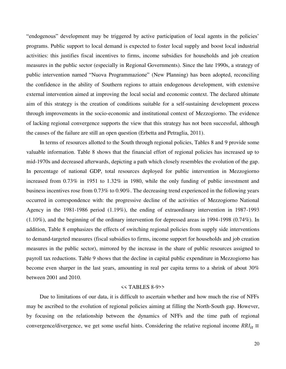"endogenous" development may be triggered by active participation of local agents in the policies' programs. Public support to local demand is expected to foster local supply and boost local industrial activities: this justifies fiscal incentives to firms, income subsidies for households and job creation measures in the public sector (especially in Regional Governments). Since the late 1990s, a strategy of public intervention named "Nuova Programmazione" (New Planning) has been adopted, reconciling the confidence in the ability of Southern regions to attain endogenous development, with extensive external intervention aimed at improving the local social and economic context. The declared ultimate aim of this strategy is the creation of conditions suitable for a self-sustaining development process through improvements in the socio-economic and institutional context of Mezzogiorno. The evidence of lacking regional convergence supports the view that this strategy has not been successful, although the causes of the failure are still an open question (Erbetta and Petraglia, 2011).

In terms of resources allotted to the South through regional policies, Tables 8 and 9 provide some valuable information. Table 8 shows that the financial effort of regional policies has increased up to mid-1970s and decreased afterwards, depicting a path which closely resembles the evolution of the gap. In percentage of national GDP, total resources deployed for public intervention in Mezzogiorno increased from 0.73% in 1951 to 1.32% in 1980, while the only funding of public investment and business incentives rose from 0.73% to 0.90%. The decreasing trend experienced in the following years occurred in correspondence with: the progressive decline of the activities of Mezzogiorno National Agency in the 1981-1986 period (1.19%), the ending of extraordinary intervention in 1987-1993 (1.10%), and the beginning of the ordinary intervention for depressed areas in 1994-1998 (0.74%). In addition, Table 8 emphasizes the effects of switching regional policies from supply side interventions to demand-targeted measures (fiscal subsidies to firms, income support for households and job creation measures in the public sector), mirrored by the increase in the share of public resources assigned to payroll tax reductions. Table 9 shows that the decline in capital public expenditure in Mezzogiorno has become even sharper in the last years, amounting in real per capita terms to a shrink of about 30% between 2001 and 2010.

#### $<<$  TABLES 8-9>>

Due to limitations of our data, it is difficult to ascertain whether and how much the rise of NFFs may be ascribed to the evolution of regional policies aiming at filling the North-South gap. However, by focusing on the relationship between the dynamics of NFFs and the time path of regional convergence/divergence, we get some useful hints. Considering the relative regional income  $RRI_{it}$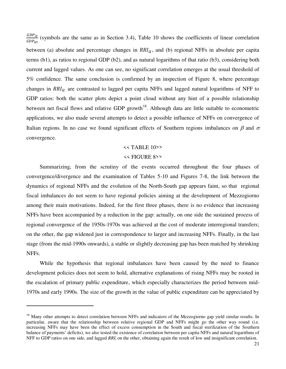GDP<sub>it</sub>  $rac{dDF_{tt}}{dDP_{at}}$  (symbols are the same as in Section 3.4), Table 10 shows the coefficients of linear correlation between (a) absolute and percentage changes in  $RRI_{it}$ , and (b) regional NFFs in absolute per capita terms (b1), as ratios to regional GDP (b2), and as natural logarithms of that ratio (b3), considering both current and lagged values. As one can see, no significant correlation emerges at the usual threshold of 5% confidence. The same conclusion is confirmed by an inspection of Figure 8, where percentage changes in  $RRI_{it}$  are contrasted to lagged per capita NFFs and lagged natural logarithms of NFF to GDP ratios: both the scatter plots depict a point cloud without any hint of a possible relationship between net fiscal flows and relative GDP growth<sup>18</sup>. Although data are little suitable to econometric applications, we also made several attempts to detect a possible influence of NFFs on convergence of Italian regions. In no case we found significant effects of Southern regions imbalances on  $\beta$  and  $\sigma$ convergence.

### $<<$  TABLE 10>> << FIGURE 8>>

Summarizing, from the scrutiny of the events occurred throughout the four phases of convergence/divergence and the examination of Tables 5-10 and Figures 7-8, the link between the dynamics of regional NFFs and the evolution of the North-South gap appears faint, so that regional fiscal imbalances do not seem to have regional policies aiming at the development of Mezzogiorno among their main motivations. Indeed, for the first three phases, there is no evidence that increasing NFFs have been accompanied by a reduction in the gap: actually, on one side the sustained process of regional convergence of the 1950s-1970s was achieved at the cost of moderate interregional transfers; on the other, the gap widened just in correspondence to larger and increasing NFFs. Finally, in the last stage (from the mid-1990s onwards), a stable or slightly decreasing gap has been matched by shrinking NFFs.

While the hypothesis that regional imbalances have been caused by the need to finance development policies does not seem to hold, alternative explanations of rising NFFs may be rooted in the escalation of primary public expenditure, which especially characterizes the period between mid-1970s and early 1990s. The size of the growth in the value of public expenditure can be appreciated by

 $\overline{a}$ 

<sup>&</sup>lt;sup>18</sup> Many other attempts to detect correlation between NFFs and indicators of the Mezzogiorno gap yield similar results. In particular, aware that the relationship between relative regional GDP and NFFs might go the other way round (i.e. increasing NFFs may have been the effect of excess consumption in the South and fiscal sterilization of the Southern balance of payments' deficits), we also tested the existence of correlation between per capita NFFs and natural logarithms of NFF to GDP ratios on one side, and lagged *RRI*<sup>*i*</sup> on the other, obtaining again the result of low and insignificant correlation.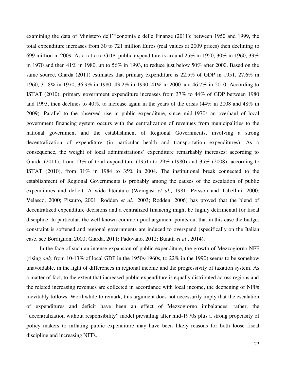examining the data of Ministero dell'Economia e delle Finanze (2011): between 1950 and 1999, the total expenditure increases from 30 to 721 million Euros (real values at 2009 prices) then declining to 699 million in 2009. As a ratio to GDP, public expenditure is around  $25\%$  in 1950, 30% in 1960, 33% in 1970 and then 41% in 1980, up to 56% in 1993, to reduce just below 50% after 2000. Based on the same source, Giarda (2011) estimates that primary expenditure is 22.5% of GDP in 1951, 27.6% in 1960, 31.8% in 1970, 36.9% in 1980, 43.2% in 1990, 41% in 2000 and 46.7% in 2010. According to ISTAT (2010), primary government expenditure increases from 37% to 44% of GDP between 1980 and 1993, then declines to 40%, to increase again in the years of the crisis (44% in 2008 and 48% in 2009). Parallel to the observed rise in public expenditure, since mid-1970s an overhaul of local government financing system occurs with the centralization of revenues from municipalities to the national government and the establishment of Regional Governments, involving a strong decentralization of expenditure (in particular health and transportation expenditures). As a consequence, the weight of local administrations' expenditure remarkably increases: according to Giarda (2011), from 19% of total expenditure (1951) to 29% (1980) and 35% (2008); according to ISTAT (2010), from 31% in 1984 to 35% in 2004. The institutional break connected to the establishment of Regional Governments is probably among the causes of the escalation of public expenditures and deficit. A wide literature (Weingast *et al.*, 1981; Persson and Tabellini, 2000; Velasco, 2000; Pisauro, 2001; Rodden *et al.*, 2003; Rodden, 2006) has proved that the blend of decentralized expenditure decisions and a centralized financing might be highly detrimental for fiscal discipline. In particular, the well known common-pool argument points out that in this case the budget constraint is softened and regional governments are induced to overspend (specifically on the Italian case, see Bordignon, 2000; Giarda, 2011; Padovano, 2012; Buiatti *et al*., 2014).

In the face of such an intense expansion of public expenditure, the growth of Mezzogiorno NFF (rising *only* from 10-13% of local GDP in the 1950s-1960s, to 22% in the 1990) seems to be somehow unavoidable, in the light of differences in regional income and the progressivity of taxation system. As a matter of fact, to the extent that increased public expenditure is equally distributed across regions and the related increasing revenues are collected in accordance with local income, the deepening of NFFs inevitably follows. Worthwhile to remark, this argument does not necessarily imply that the escalation of expenditures and deficit have been an effect of Mezzogiorno imbalances; rather, the "decentralization without responsibility" model prevailing after mid-1970s plus a strong propensity of policy makers to inflating public expenditure may have been likely reasons for both loose fiscal discipline and increasing NFFs.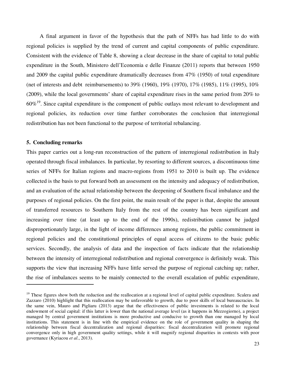A final argument in favor of the hypothesis that the path of NFFs has had little to do with regional policies is supplied by the trend of current and capital components of public expenditure. Consistent with the evidence of Table 8, showing a clear decrease in the share of capital to total public expenditure in the South, Ministero dell'Economia e delle Finanze (2011) reports that between 1950 and 2009 the capital public expenditure dramatically decreases from 47% (1950) of total expenditure (net of interests and debt reimbursements) to 39% (1960), 19% (1970), 17% (1985), 11% (1995), 10% (2009), while the local governments' share of capital expenditure rises in the same period from 20% to  $60\%$ <sup>19</sup>. Since capital expenditure is the component of public outlays most relevant to development and regional policies, its reduction over time further corroborates the conclusion that interregional redistribution has not been functional to the purpose of territorial rebalancing.

#### **5. Concluding remarks**

1

This paper carries out a long-run reconstruction of the pattern of interregional redistribution in Italy operated through fiscal imbalances. In particular, by resorting to different sources, a discontinuous time series of NFFs for Italian regions and macro-regions from 1951 to 2010 is built up. The evidence collected is the basis to put forward both an assessment on the intensity and adequacy of redistribution, and an evaluation of the actual relationship between the deepening of Southern fiscal imbalance and the purposes of regional policies. On the first point, the main result of the paper is that, despite the amount of transferred resources to Southern Italy from the rest of the country has been significant and increasing over time (at least up to the end of the 1990s), redistribution cannot be judged disproportionately large, in the light of income differences among regions, the public commitment in regional policies and the constitutional principles of equal access of citizens to the basic public services. Secondly, the analysis of data and the inspection of facts indicate that the relationship between the intensity of interregional redistribution and regional convergence is definitely weak. This supports the view that increasing NFFs have little served the purpose of regional catching up; rather, the rise of imbalances seems to be mainly connected to the overall escalation of public expenditure,

<sup>&</sup>lt;sup>19</sup> These figures show both the reduction and the reallocation at a regional level of capital public expenditure. Scalera and Zazzaro (2010) highlight that this reallocation may be unfavorable to growth, due to poor skills of local bureaucracies. In the same vein, Mauro and Pigliaru (2013) argue that the effectiveness of public investments is related to the local endowment of social capital: if this latter is lower than the national average level (as it happens in Mezzogiorno), a project managed by central government institutions is more productive and conducive to growth than one managed by local institutions. This statement is in line with the empirical evidence on the role of government quality in shaping the relationship between fiscal decentralization and regional disparities: fiscal decentralization will promote regional convergence only in high government quality settings, while it will magnify regional disparities in contexts with poor governance (Kyriacou *et al*., 2013).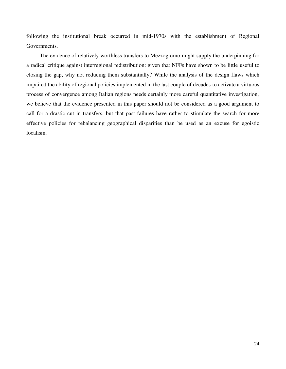following the institutional break occurred in mid-1970s with the establishment of Regional Governments.

The evidence of relatively worthless transfers to Mezzogiorno might supply the underpinning for a radical critique against interregional redistribution: given that NFFs have shown to be little useful to closing the gap, why not reducing them substantially? While the analysis of the design flaws which impaired the ability of regional policies implemented in the last couple of decades to activate a virtuous process of convergence among Italian regions needs certainly more careful quantitative investigation, we believe that the evidence presented in this paper should not be considered as a good argument to call for a drastic cut in transfers, but that past failures have rather to stimulate the search for more effective policies for rebalancing geographical disparities than be used as an excuse for egoistic localism.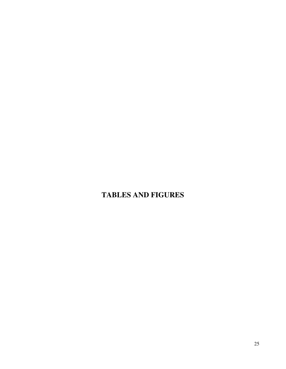### **TABLES AND FIGURES**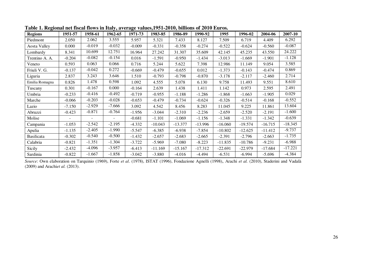| <b>Regions</b>      | 1951-57  | 1958-61                  | 1962-65        | 1971-73  | 1983-85   | 1986-89   | 1990-92   | 1995      | 1996-02   | 2004-06   | 2007-10   |
|---------------------|----------|--------------------------|----------------|----------|-----------|-----------|-----------|-----------|-----------|-----------|-----------|
| Piedmont            | 2.050    | 2.062                    | 3.555          | 5.957    | 5.321     | 7.433     | 8.127     | 7.509     | 6.719     | 4.409     | 6.292     |
| <b>Aosta Valley</b> | 0.000    | $-0.019$                 | $-0.032$       | $-0.009$ | -0.331    | $-0.358$  | $-0.274$  | $-0.522$  | $-0.624$  | $-0.560$  | $-0.087$  |
| Lombardy            | 8.341    | 10.699                   | 12.751         | 16.964   | 27.242    | 31.307    | 35.609    | 42.145    | 45.235    | 43.550    | 24.222    |
| Trentino A. A.      | $-0.204$ | $-0.082$                 | $-0.154$       | 0.016    | $-1.591$  | $-0.950$  | $-1.434$  | $-3.013$  | $-1.669$  | $-1.901$  | $-1.128$  |
| Veneto              | 0.593    | 0.063                    | 0.066          | 0.716    | 5.244     | 5.622     | 7.398     | 12.986    | 11.149    | 9.054     | 3.585     |
| Friuli V. G.        | $-0.137$ | $-0.042$                 | 0.272          | $-0.669$ | $-0.479$  | $-0.655$  | 0.012     | $-1.373$  | $-0.143$  | $-0.474$  | 0.869     |
| Liguria             | 2.837    | 3.243                    | 3.646          | 1.510    | $-0.793$  | $-0.798$  | $-0.870$  | $-3.178$  | $-2.117$  | -2.460    | 2.714     |
| Emilia Romagna      | 0.826    | 1.478                    | 0.598          | 1.092    | 4.555     | 5.078     | 6.130     | 9.758     | 11.493    | 9.551     | 8.610     |
| Tuscany             | 0.301    | $-0.167$                 | 0.000          | $-0.164$ | 2.639     | 1.438     | 1.411     | 1.142     | 0.973     | 2.595     | 2.491     |
| Umbria              | $-0.233$ | $-0.416$                 | $-0.492$       | $-0.719$ | $-0.955$  | $-1.188$  | $-1.286$  | $-1.868$  | $-1.663$  | $-1.905$  | 0.029     |
| Marche              | $-0.066$ | $-0.203$                 | $-0.028$       | $-0.653$ | $-0.479$  | -0.734    | $-0.624$  | $-0.326$  | $-0.514$  | $-0.168$  | $-0.552$  |
| Lazio               | $-7.150$ | $-2.929$                 | $-7.666$       | 3.092    | 4.542     | 8.456     | 8.283     | 11.045    | 9.225     | 11.861    | 13.604    |
| Abruzzi             | $-0.423$ | $-0.871$                 | $-0.764$       | $-1.956$ | $-3.044$  | $-2.310$  | $-2.236$  | $-2.659$  | $-2.520$  | $-2.191$  | $-1.600$  |
| Molise              | $\sim$   | $\overline{\phantom{a}}$ | $\blacksquare$ | $-0.681$ | $-1.101$  | $-1.069$  | $-1.156$  | $-1.348$  | $-1.331$  | $-1.342$  | $-0.639$  |
| Campania            | $-1.053$ | $-2.542$                 | $-2.195$       | $-4.332$ | $-10.043$ | $-13.377$ | $-13.996$ | $-16.060$ | $-19.574$ | $-16.715$ | $-18.345$ |
| Apulia              | $-1.135$ | $-2.405$                 | $-1.990$       | $-5.547$ | $-6.385$  | $-6.938$  | $-7.854$  | $-10.802$ | $-12.625$ | $-11.412$ | $-9.737$  |
| <b>Basilicata</b>   | $-0.302$ | $-0.540$                 | $-0.500$       | $-1.432$ | $-2.657$  | $-2.683$  | $-2.665$  | $-2.391$  | $-2.796$  | $-2.663$  | $-1.735$  |
| Calabria            | $-0.821$ | $-1.351$                 | $-1.304$       | $-3.722$ | $-5.969$  | $-7.080$  | $-8.223$  | $-11.835$ | $-10.786$ | -9.231    | $-6.988$  |
| Sicily              | $-2.432$ | $-4.096$                 | $-3.957$       | $-6.413$ | $-11.169$ | $-15.167$ | $-17.312$ | $-22.691$ | -22.979   | $-17.684$ | $-17.221$ |
| Sardinia            | $-0.822$ | $-1.667$                 | $-1.858$       | $-3.042$ | $-3.880$  | -4.016    | $-4.494$  | $-6.531$  | $-6.994$  | $-5.696$  | $-4.384$  |

**Table 1. Regional net fiscal flows in Italy, average values,1951-2010, billions of 2010 Euros.** 

*Source*: Own elaboration on Tarquinio (1969), Forte *et al*. (1978), ISTAT (1996), Fondazione Agnelli (1998), Arachi *et al.* (2010), Staderini and Vadalà (2009) and Arachi*et al.* (2013).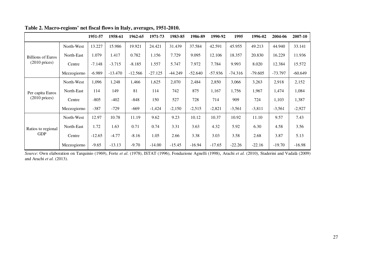|                                  |             | 1951-57  | 1958-61   | 1962-65   | 1971-73   | 1983-85   | 1986-89   | 1990-92   | 1995      | 1996-02   | 2004-06   | 2007-10   |
|----------------------------------|-------------|----------|-----------|-----------|-----------|-----------|-----------|-----------|-----------|-----------|-----------|-----------|
|                                  | North-West  | 13.227   | 15.986    | 19.921    | 24.421    | 31.439    | 37.584    | 42.591    | 45.955    | 49.213    | 44.940    | 33.141    |
| <b>Billions of Euros</b>         | North-East  | 1.079    | 1.417     | 0.782     | 1.156     | 7.729     | 9.095     | 12.106    | 18.357    | 20.830    | 16.229    | 11.936    |
| $(2010 \text{ prices})$          | Centre      | $-7.148$ | $-3.715$  | $-8.185$  | 1.557     | 5.747     | 7.972     | 7.784     | 9.993     | 8.020     | 12.384    | 15.572    |
|                                  | Mezzogiorno | $-6.989$ | $-13.470$ | $-12.566$ | $-27.125$ | $-44.249$ | $-52.640$ | $-57.936$ | $-74.316$ | $-79.605$ | $-73.797$ | $-60.649$ |
|                                  | North-West  | 1,096    | 1,248     | 1,466     | 1,625     | 2,070     | 2,484     | 2,850     | 3,066     | 3,263     | 2,918     | 2,152     |
| Per capita Euros                 | North-East  | 114      | 149       | 81        | 114       | 742       | 875       | 1,167     | 1,756     | 1,967     | 1,474     | 1,084     |
| $(2010 \text{ prices})$          | Centre      | $-805$   | $-402$    | $-848$    | 150       | 527       | 728       | 714       | 909       | 724       | 1,103     | 1,387     |
|                                  | Mezzogiorno | $-387$   | $-729$    | $-669$    | $-1,424$  | $-2,150$  | $-2,515$  | $-2,821$  | $-3,561$  | $-3,811$  | $-3,561$  | $-2,927$  |
|                                  | North-West  | 12.97    | 10.78     | 11.19     | 9.62      | 9.23      | 10.12     | 10.37     | 10.92     | 11.10     | 9.57      | 7.43      |
| Ratios to regional<br><b>GDP</b> | North-East  | 1.72     | 1.63      | 0.71      | 0.74      | 3.31      | 3.63      | 4.32      | 5.92      | 6.30      | 4.58      | 3.56      |
|                                  | Centre      | $-12.65$ | $-4.77$   | $-8.16$   | 1.05      | 2.66      | 3.38      | 3.03      | 3.58      | 2.68      | 3.87      | 5.13      |
|                                  | Mezzogiorno | $-9.65$  | $-13.13$  | $-9.70$   | $-14.00$  | $-15.45$  | $-16.94$  | $-17.65$  | $-22.26$  | $-22.16$  | $-19.70$  | $-16.98$  |

#### **Table 2. Macro-regions' net fiscal flows in Italy, averages, 1951-2010.**

*Source*: Own elaboration on Tarquinio (1969), Forte *et al*. (1978), ISTAT (1996), Fondazione Agnelli (1998), Arachi *et al.* (2010), Staderini and Vadalà (2009) and Arachi *et al.* (2013).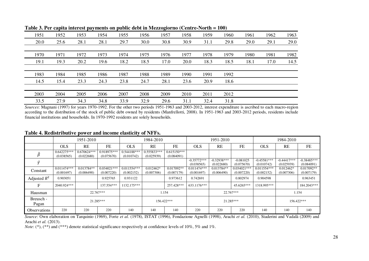|      |      |      |      |      |      | $\tilde{\phantom{a}}$ |      |      |      |      |      |      |
|------|------|------|------|------|------|-----------------------|------|------|------|------|------|------|
| 1951 | 1952 | 1953 | 1954 | 1955 | 1956 | 1957                  | 1958 | 1959 | 1960 | 1961 | 1962 | 1963 |
| 20.0 | 25.6 | 28.1 | 28.1 | 29.7 | 30.0 | 30.8                  | 30.9 | 31.1 | 29.8 | 29.0 | 29.1 | 29.0 |
|      |      |      |      |      |      |                       |      |      |      |      |      |      |
| 1970 | 1971 | 1972 | 1973 | 1974 | 1975 | 1976                  | 1977 | 1978 | 1979 | 1980 | 1981 | 1982 |
| 19.1 | 19.3 | 20.2 | 19.6 | 18.2 | 18.5 | 17.0                  | 20.0 | 18.3 | 18.5 | 18.1 | 17.0 | 14.5 |
|      |      |      |      |      |      |                       |      |      |      |      |      |      |
| 1983 | 1984 | 1985 | 1986 | 1987 | 1988 | 1989                  | 1990 | 1991 | 1992 |      |      |      |
| 14.5 | 15.4 | 23.3 | 24.3 | 23.8 | 24.7 | 28.1                  | 23.6 | 20.9 | 18.6 |      |      |      |
|      |      |      |      |      |      |                       |      |      |      |      |      |      |
| 2003 | 2004 | 2005 | 2006 | 2007 | 2008 | 2009                  | 2010 | 2011 | 2012 |      |      |      |
| 33.5 | 27.9 | 34.3 | 34.8 | 33.9 | 32.9 | 29.6                  | 31.1 | 32.4 | 31.8 |      |      |      |
|      |      |      |      |      |      |                       |      |      |      |      |      |      |

**Table 3. Per capita interest payments on public debt in Mezzogiorno (Centre-North = 100)** 

*Sources*: Magnani (1997) for years 1970-1992. For the other two periods 1951-1963 and 2003-2012, interest expenditure is ascribed to each macro-region according to the distribution of the stock of public debt owned by residents (Manfrellotti, 2008). In 1951-1963 and 2003-2012 periods, residents include financial institutions and households. In 1970-1992 residents are solely households.

#### **Table 4. Redistributive power and income elasticity of NFFs.**

|                     |                             | 1951-2010                   |                             |                             | 1984-2010                   |                             |                             | 1951-2010                   |                             |                             | 1984-2010                   |                             |
|---------------------|-----------------------------|-----------------------------|-----------------------------|-----------------------------|-----------------------------|-----------------------------|-----------------------------|-----------------------------|-----------------------------|-----------------------------|-----------------------------|-----------------------------|
|                     | <b>OLS</b>                  | <b>RE</b>                   | <b>FE</b>                   | <b>OLS</b>                  | RE                          | FE                          | <b>OLS</b>                  | RE                          | <b>FE</b>                   | <b>OLS</b>                  | RE                          | <b>FE</b>                   |
|                     | $0.642275***$<br>(0.038565) | $0.670624***$<br>(0.022680) | $0.918975***$<br>(0.075670) | $0.544188***$<br>(0.010742) | $0.555833***$<br>(0.025939) | $0.615150***$<br>(0.084091) |                             |                             |                             |                             |                             |                             |
|                     |                             |                             |                             |                             |                             |                             | $-0.35772***$<br>(0.038565) | $-0.32938***$<br>(0.022680) | $-0.081025$<br>(0.075670)   | $-0.45581***$<br>(0.010742) | $-0.44417***$<br>(0.025939) | $-0.38485***$<br>(0.084091) |
| Constant            | $0.011474***$<br>(0.001697) | $0.013784**$<br>(0.006490)  | $0.034021***$<br>(0.007220) | $0.011554***$<br>(0.002152) | $0.012462*$<br>(0.007306)   | $0.017092**$<br>(0.007179)  | $0.011474***$<br>(0.001697) | $0.013784**$<br>(0.006490)  | $0.034021***$<br>(0.007220) | $0.011554***$<br>(0.002152) | $0.012462*$<br>(0.007306)   | $0.017092**$<br>(0.007179)  |
| Adjusted $R^2$      | 0.903051                    |                             | 0.925765                    | 0.931122                    |                             | 0.973612                    | 0.742691                    |                             | 0.802974                    | 0.904598                    |                             | 0.963451                    |
| F                   | 2040.924***                 |                             | 137.554***                  | 1132.175***                 |                             | 257.428***                  | 633.1176***                 |                             | 45.6265***                  | 1318.995***                 |                             | 184.2043***                 |
| Hausman             |                             |                             | 22.767***                   |                             |                             | 1.154                       |                             |                             | 22.767***                   |                             |                             | 1.154                       |
| Breusch -<br>Pagan  |                             |                             | 21.285***                   |                             |                             | 156.422***                  |                             |                             | 21.285***                   |                             |                             | 156.422***                  |
| <b>Observations</b> | 220                         | 220                         | 220                         | 140                         | 140                         | 140                         | 220                         | 220                         | 220                         | 140                         | 140                         | 140                         |

*Source*: Own elaboration on Tarquinio (1969), Forte *et al*. (1978), ISTAT (1996), Fondazione Agnelli (1998), Arachi *et al.* (2010), Staderini and Vadalà (2009) and Arachi *et al.* (2013).

*Note*: (\*), (\*\*) and (\*\*\*) denote statistical significance respectively at confidence levels of 10%, 5% and 1%.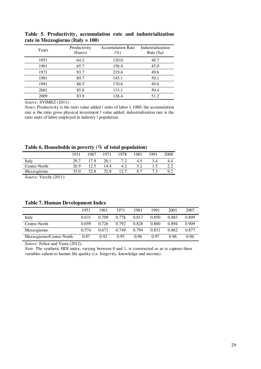| Years | Productivity<br>(Euros) | <b>Accumulation Rate</b><br>$(\%)$ | Industrialization<br>Rate $(\%_0)$ |
|-------|-------------------------|------------------------------------|------------------------------------|
| 1951  | 64.2                    | 120.0                              | 48.7                               |
| 1961  | 65.7                    | 156.4                              | 45.0                               |
| 1971  | 93.7                    | 219.6                              | 49.6                               |
| 1981  | 89.7                    | 145.1                              | 50.1                               |
| 1991  | 88.5                    | 170.6                              | 49.6                               |
| 2001  | 85.8                    | 133.1                              | 50.4                               |
| 2009  | 83.9                    | 128.4                              | 51.2                               |

**Table 5. Productivity, accumulation rate and industrialization rate in Mezzogiorno (Italy = 100)** 

*Source:* SVIMEZ (2011).

*Notes*: Productivity is the ratio value added / units of labor x 1000; the accumulation rate is the ratio gross physical investment / value added; industrialization rate is the ratio units of labor employed in industry / population.

**Table 6. Households in poverty (% of total population)** 

|              | 1931 | 1967 | 1971 | 1978 | 1981 | 1991 | 2008 |
|--------------|------|------|------|------|------|------|------|
| Italy        | 29.7 | 17 Q | 20.1 |      | 4.5  | 3.4  |      |
| Centre-North | 26.9 |      | 14.4 | 4.2  |      |      |      |
| Mezzogiorno  | 35.0 | 32.8 | 32.8 |      |      |      | 9.2  |
|              |      |      |      |      |      |      |      |

*Source*: Vecchi (2011).

#### **Table 7. Human Development Index**

|                          | 1951  | 1961  | 1971  | 1981  | 1991  | 2001  | 2007  |
|--------------------------|-------|-------|-------|-------|-------|-------|-------|
| Italy                    | 0.631 | 0.709 | 0.778 | 0.817 | 0.850 | 0.883 | 0.899 |
| Centre-North             | 0.659 | 0.726 | 0.792 | 0.828 | 0.860 | 0.894 | 0.909 |
| Mezzogiorno              | 0.574 | 0.671 | 0.749 | 0.794 | 0.831 | 0.862 | 0.877 |
| Mezzogiorno/Centre-North | 0.87  | 0.92  | 0.95  | 0.96  | 0.97  | 0.96  | 0.96  |

*Source*: Felice and Vasta (2012).

*Note*: The synthetic HDI index, varying between 0 and 1, is constructed so as to capture three variables salient to human life quality (i.e. longevity, knowledge and income).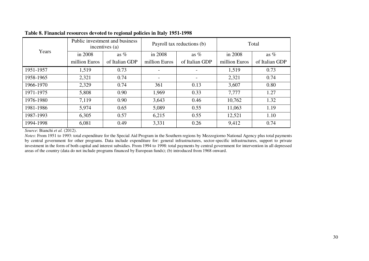| Years     |               | Public investment and business<br>incentives (a) |               | Payroll tax reductions (b) | Total         |                |  |
|-----------|---------------|--------------------------------------------------|---------------|----------------------------|---------------|----------------|--|
|           | in 2008       | as $%$                                           | in 2008       | as $%$                     | in 2008       | as $%$         |  |
|           | million Euros | of Italian GDP                                   | million Euros | of Italian GDP             | million Euros | of Italian GDP |  |
| 1951-1957 | 1,519         | 0.73                                             |               |                            | 1,519         | 0.73           |  |
| 1958-1965 | 2,321         | 0.74                                             |               | $\overline{\phantom{a}}$   | 2,321         | 0.74           |  |
| 1966-1970 | 2,329         | 0.74                                             | 361           | 0.13                       | 3,607         | 0.80           |  |
| 1971-1975 | 5,808         | 0.90                                             | 1,969         | 0.33                       | 7,777         | 1.27           |  |
| 1976-1980 | 7,119         | 0.90                                             | 3,643         | 0.46                       | 10,762        | 1.32           |  |
| 1981-1986 | 5,974         | 0.65                                             | 5,089         | 0.55                       | 11,063        | 1.19           |  |
| 1987-1993 | 6,305         | 0.57                                             | 6,215         | 0.55                       | 12,521        | 1.10           |  |
| 1994-1998 | 6,081         | 0.49                                             | 3,331         | 0.26                       | 9,412         | 0.74           |  |

#### **Table 8. Financial resources devoted to regional policies in Italy 1951-1998**

*Source*: Bianchi *et al.* (2012).

*Notes*: From 1951 to 1993: total expenditure for the Special Aid Program in the Southern regions by Mezzogiorno National Agency plus total payments by central government for other programs. Data include expenditure for: general infrastructures, sector-specific infrastructures, support to private investment in the form of both capital and interest subsidies. From 1994 to 1998: total payments by central government for intervention in all depressed areas of the country (data do not include programs financed by European funds); (b) introduced from 1968 onward.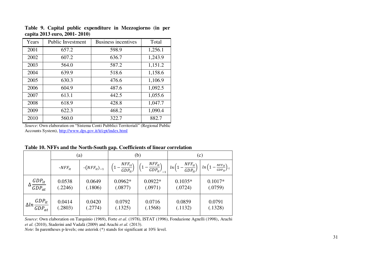| Years | <b>Public Investment</b> | <b>Business incentives</b> | Total   |
|-------|--------------------------|----------------------------|---------|
| 2001  | 657.2                    | 598.9                      | 1,256.1 |
| 2002  | 607.2                    | 636.7                      | 1,243.9 |
| 2003  | 564.0                    | 587.2                      | 1,151.2 |
| 2004  | 639.9                    | 518.6                      | 1,158.6 |
| 2005  | 630.3                    | 476.6                      | 1,106.9 |
| 2006  | 604.9                    | 487.6                      | 1,092.5 |
| 2007  | 613.1                    | 442.5                      | 1,055.6 |
| 2008  | 618.9                    | 428.8                      | 1,047.7 |
| 2009  | 622.3                    | 468.2                      | 1,090.4 |
| 2010  | 560.0                    | 322.7                      | 882.7   |

**Table 9. Capital public expenditure in Mezzogiorno (in per capita 2013 euro, 2001- 2010)** 

*Source*: Own elaboration on "Sistema Conti Pubblici Territoriali" (Regional Public Accounts System)[, http://www.dps.gov.it/it/cpt/index.html](http://www.dps.gov.it/it/cpt/index.html)

|  |  | Table 10. NFFs and the North-South gap. Coefficients of linear correlation |  |  |
|--|--|----------------------------------------------------------------------------|--|--|
|--|--|----------------------------------------------------------------------------|--|--|

|                                       |             | (a)                |                                     | (b)                                               | (c)                                     |                                                 |  |
|---------------------------------------|-------------|--------------------|-------------------------------------|---------------------------------------------------|-----------------------------------------|-------------------------------------------------|--|
|                                       | $-NFF_{it}$ | $-(NFF_{it})_{-1}$ | $NFF_{it}$<br>$\overline{GDP_{it}}$ | $NFF_{it}$<br>$\overline{GDP_{it}}$ <sub>-1</sub> | $\frac{NFF_{it}}{GDP_{it}}$<br>$ln(1 -$ | $ln\left(1-\frac{NFF_{it}}{GDP_{it}}\right)$ -1 |  |
| $GDP_{it}$                            | 0.0538      | 0.0649             | $0.0962*$                           | $0.0922*$                                         | $0.1035*$                               | $0.1017*$                                       |  |
| $\overline{GDP_{at}}$                 | (.2246)     | (.1806)            | (.0877)                             | (.0971)                                           | (.0724)                                 | (.0759)                                         |  |
| $\Delta ln \frac{GDP_{it}}{GDP_{at}}$ | 0.0414      | 0.0420             | 0.0792                              | 0.0716                                            | 0.0859                                  | 0.0791                                          |  |
|                                       | (.2803)     | (.2774)            | (.1325)                             | (.1568)                                           | (.1132)                                 | (.1328)                                         |  |

*Source*: Own elaboration on Tarquinio (1969), Forte *et al*. (1978), ISTAT (1996), Fondazione Agnelli (1998), Arachi *et al.* (2010), Staderini and Vadalà (2009) and Arachi *et al.* (2013).

*Note*: In parentheses p-levels; one asterisk (\*) stands for significant at 10% level.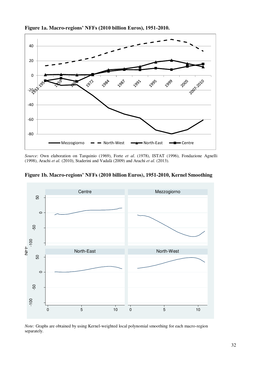

**Figure 1a. Macro-regions' NFFs (2010 billion Euros), 1951-2010.** 

*Source*: Own elaboration on Tarquinio (1969), Forte *et al*. (1978), ISTAT (1996), Fondazione Agnelli (1998), Arachi *et al.* (2010), Staderini and Vadalà (2009) and Arachi *et al.* (2013).



**Figure 1b. Macro-regions' NFFs (2010 billion Euros), 1951-2010, Kernel Smoothing** 

*Note:* Graphs are obtained by using Kernel-weighted local polynomial smoothing for each macro-region separately.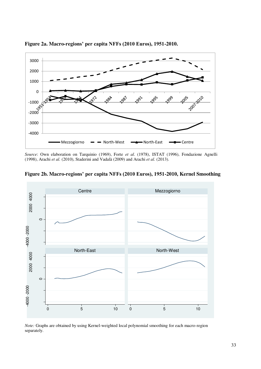

**Figure 2a. Macro-regions' per capita NFFs (2010 Euros), 1951-2010.** 

*Source*: Own elaboration on Tarquinio (1969), Forte *et al*. (1978), ISTAT (1996), Fondazione Agnelli (1998), Arachi *et al.* (2010), Staderini and Vadalà (2009) and Arachi *et al.* (2013).



**Figure 2b. Macro-regions' per capita NFFs (2010 Euros), 1951-2010, Kernel Smoothing** 

*Note:* Graphs are obtained by using Kernel-weighted local polynomial smoothing for each macro-region separately.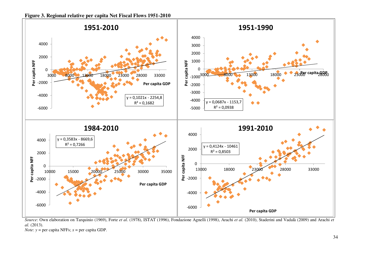

*Source*: Own elaboration on Tarquinio (1969), Forte *et al*. (1978), ISTAT (1996), Fondazione Agnelli (1998), Arachi *et al.* (2010), Staderini and Vadalà (2009) and Arachi *et al.* (2013).

*Note*:  $y = per$  capita NFFs;  $x = per$  capita GDP.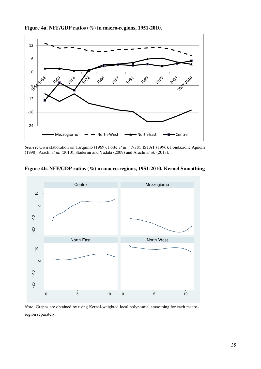

**Figure 4a. NFF/GDP ratios (%) in macro-regions, 1951-2010.** 

*Source*: Own elaboration on Tarquinio (1969), Forte *et al*. (1978), ISTAT (1996), Fondazione Agnelli (1998), Arachi *et al.* (2010), Staderini and Vadalà (2009) and Arachi *et al.* (2013).



**Figure 4b. NFF/GDP ratios (%) in macro-regions, 1951-2010, Kernel Smoothing** 

*Note:* Graphs are obtained by using Kernel-weighted local polynomial smoothing for each macroregion separately.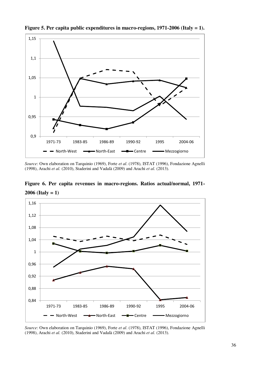

**Figure 5. Per capita public expenditures in macro-regions, 1971-2006 (Italy = 1).** 

*Source*: Own elaboration on Tarquinio (1969), Forte *et al*. (1978), ISTAT (1996), Fondazione Agnelli (1998), Arachi *et al.* (2010), Staderini and Vadalà (2009) and Arachi *et al.* (2013).

**Figure 6. Per capita revenues in macro-regions. Ratios actual/normal, 1971- 2006 (Italy = 1)** 



*Source*: Own elaboration on Tarquinio (1969), Forte *et al*. (1978), ISTAT (1996), Fondazione Agnelli (1998), Arachi *et al.* (2010), Staderini and Vadalà (2009) and Arachi *et al.* (2013).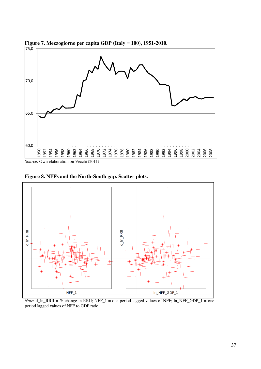

**Figure 7. Mezzogiorno per capita GDP (Italy = 100), 1951-2010.** 

*Source*: Own elaboration on Vecchi (2011)

**Figure 8. NFFs and the North-South gap. Scatter plots.** 



*Note*:  $d_n$  ln\_RRII = % change in RRII; NFF\_1 = one period lagged values of NFF; ln\_NFF\_GDP\_1 = one period lagged values of NFF to GDP ratio.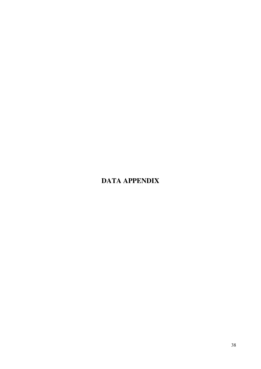### **DATA APPENDIX**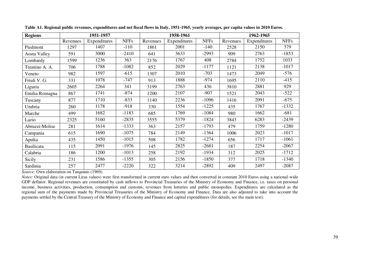| <b>Regions</b>    |          | 1951-1957    |             |          | 1958-1961    |             |          | 1962-1965    |             |
|-------------------|----------|--------------|-------------|----------|--------------|-------------|----------|--------------|-------------|
|                   | Revenues | Expenditures | <b>NFFs</b> | Revenues | Expenditures | <b>NFFs</b> | Revenues | Expenditures | <b>NFFs</b> |
| Piedmont          | 1297     | 1407         | $-110$      | 1861     | 2001         | $-140$      | 2528     | 2150         | 379         |
| Aosta Valley      | 591      | 3000         | $-2410$     | 641      | 3633         | $-2993$     | 909      | 2763         | $-1853$     |
| Lombardy          | 1599     | 1236         | 363         | 2176     | 1767         | 408         | 2784     | 1752         | 1033        |
| Trentino A. A.    | 706      | 1788         | $-1082$     | 852      | 2029         | $-1177$     | 1121     | 2138         | $-1017$     |
| Veneto            | 982      | 1597         | $-615$      | 1307     | 2010         | $-703$      | 1473     | 2049         | $-576$      |
| Friuli V. G.      | 331      | 1078         | $-747$      | 913      | 1888         | $-974$      | 1695     | 2110         | $-415$      |
| Liguria           | 2605     | 2264         | 341         | 3199     | 2763         | 436         | 3810     | 2881         | 929         |
| Emilia Romagna    | 867      | 1741         | $-874$      | 1200     | 2107         | $-907$      | 1521     | 2043         | $-522$      |
| Tuscany           | 877      | 1710         | $-833$      | 1140     | 2236         | $-1096$     | 1416     | 2091         | $-675$      |
| Umbria            | 260      | 1178         | $-918$      | 330      | 1554         | $-1225$     | 435      | 1767         | $-1332$     |
| Marche            | 499      | 1682         | $-1183$     | 685      | 1769         | $-1084$     | 980      | 1662         | $-681$      |
| Lazio             | 2325     | 5160         | $-2835$     | 3555     | 5379         | $-1824$     | 3843     | 6283         | $-2439$     |
| Abruzzi-Molise    | 281      | 1614         | $-1333$     | 363      | 2157         | $-1793$     | 479      | 1759         | $-1280$     |
| Campania          | 615      | 1690         | $-1075$     | 784      | 2149         | $-1364$     | 1006     | 2023         | $-1017$     |
| Apulia            | 435      | 1450         | $-1015$     | 508      | 1782         | $-1274$     | 656      | 1717         | $-1061$     |
| <b>Basilicata</b> | 115      | 2091         | $-1976$     | 145      | 2825         | $-2681$     | 187      | 2254         | $-2067$     |
| Calabria          | 186      | 1200         | $-1013$     | 258      | 2192         | $-1934$     | 312      | 2025         | $-1712$     |
| Sicily            | 231      | 1586         | $-1355$     | 305      | 2156         | $-1850$     | 377      | 1718         | $-1340$     |
| Sardinia          | 257      | 2477         | $-2220$     | 322      | 3214         | $-2892$     | 409      | 2497         | $-2087$     |

**Table A1. Regional public revenues, expenditures and net fiscal flows in Italy, 1951-1965, yearly averages, per capita values in 2010 Euros.** 

*Source:* Own elaboration on Tarquinio (1969).

*Notes:* Original data (in current Liras values) were first transformed in current euro values and then converted in constant 2010 Euros using a national-wide GDP deflator. Regional revenues are constituted by cash inflows to Provincial Treasuries of the Ministry of Economy and Finance, i.e. taxes on personal income, business activities, production, consumption and customs; revenues from lotteries and public monopolies. Expenditures are calculated as the regional sum of the payments made by Provincial Treasuries of the Ministry of Economy and Finance. Data are also adjusted to take into account the payments settled by the Central Treasury of the Ministry of Economy and Finance and capital expenditures (for details, see the main text).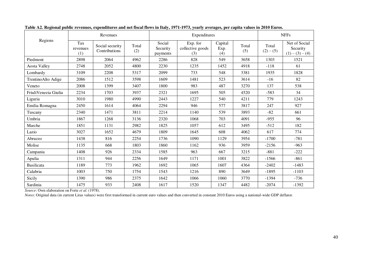|                      |                        | Revenues                         |              |                                | Expenditures                        | <b>NFFs</b>            |              |                    |                                                |
|----------------------|------------------------|----------------------------------|--------------|--------------------------------|-------------------------------------|------------------------|--------------|--------------------|------------------------------------------------|
| Regions              | Tax<br>revenues<br>(1) | Social security<br>Contributions | Total<br>(2) | Social<br>Security<br>payments | Exp. for<br>collective goods<br>(3) | Capital<br>Exp.<br>(4) | Total<br>(5) | Total<br>$(2)-(5)$ | Net of Social<br>Security<br>$(1) - (3) - (4)$ |
| Piedmont             | 2898                   | 2064                             | 4962         | 2286                           | 828                                 | 549                    | 3658         | 1303               | 1521                                           |
| Aosta Valley         | 2748                   | 2052                             | 4800         | 2230                           | 1235                                | 1452                   | 4918         | $-118$             | 61                                             |
| Lombardy             | 3109                   | 2208                             | 5317         | 2099                           | 733                                 | 548                    | 3381         | 1935               | 1828                                           |
| TrentinoAlto Adige   | 2086                   | 1512                             | 3598         | 1609                           | 1481                                | 523                    | 3614         | $-16$              | 82                                             |
| Veneto               | 2008                   | 1399                             | 3407         | 1800                           | 983                                 | 487                    | 3270         | 137                | 538                                            |
| FriuliVenezia Giulia | 2234                   | 1703                             | 3937         | 2321                           | 1695                                | 505                    | 4520         | $-583$             | 34                                             |
| Liguria              | 3010                   | 1980                             | 4990         | 2443                           | 1227                                | 540                    | 4211         | 779                | 1243                                           |
| Emilia Romagna       | 2450                   | 1614                             | 4064         | 2294                           | 946                                 | 577                    | 3817         | 247                | 927                                            |
| Tuscany              | 2340                   | 1471                             | 3811         | 2214                           | 1140                                | 539                    | 3893         | $-82$              | 661                                            |
| Umbria               | 1867                   | 1268                             | 3136         | 2320                           | 1068                                | 703                    | 4091         | $-955$             | 96                                             |
| Marche               | 1851                   | 1131                             | 2982         | 1825                           | 1057                                | 612                    | 3495         | $-512$             | 182                                            |
| Lazio                | 3027                   | 1652                             | 4679         | 1809                           | 1645                                | 608                    | 4062         | 617                | 774                                            |
| Abruzzo              | 1438                   | 816                              | 2254         | 1736                           | 1090                                | 1129                   | 3954         | $-1700$            | $-781$                                         |
| Molise               | 1135                   | 668                              | 1803         | 1860                           | 1162                                | 936                    | 3959         | $-2156$            | $-963$                                         |
| Campania             | 1408                   | 926                              | 2334         | 1585                           | 963                                 | 667                    | 3215         | $-881$             | $-222$                                         |
| Apulia               | 1311                   | 944                              | 2256         | 1649                           | 1171                                | 1001                   | 3822         | $-1566$            | $-861$                                         |
| Basilicata           | 1189                   | 773                              | 1962         | 1692                           | 1065                                | 1607                   | 4364         | $-2402$            | $-1483$                                        |
| Calabria             | 1003                   | 750                              | 1754         | 1543                           | 1216                                | 890                    | 3649         | $-1895$            | $-1103$                                        |
| Sicily               | 1390                   | 986                              | 2375         | 1642                           | 1066                                | 1060                   | 3770         | $-1394$            | $-736$                                         |
| Sardinia             | 1475                   | 933                              | 2408         | 1617                           | 1520                                | 1347                   | 4482         | $-2074$            | $-1392$                                        |

**Table A2. Regional public revenues, expenditures and net fiscal flows in Italy, 1971-1973, yearly averages, per capita values in 2010 Euros.** 

*Source*: Own elaboration on Forte *et al*. (1978).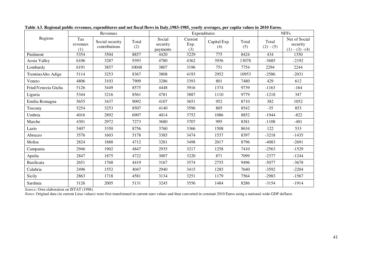|                      |                        | Revenues                         |              |                                | Expenditures           | <b>NFFs</b>         |              |                    |                                                |
|----------------------|------------------------|----------------------------------|--------------|--------------------------------|------------------------|---------------------|--------------|--------------------|------------------------------------------------|
| Regions              | Tax<br>revenues<br>(1) | Social security<br>contributions | Total<br>(2) | Social<br>security<br>payments | Current<br>Exp.<br>(3) | Capital Exp.<br>(4) | Total<br>(5) | Total<br>$(2)-(5)$ | Net of Social<br>security<br>$(1) - (3) - (4)$ |
| Piedmont             | 5354                   | 3504                             | 8857         | 4420                           | 3229                   | 775                 | 8424         | 434                | 1350                                           |
| Aosta Valley         | 6106                   | 3287                             | 9393         | 4780                           | 4362                   | 3936                | 13078        | $-3685$            | $-2192$                                        |
| Lombardy             | 6191                   | 3857                             | 10048        | 3807                           | 3196                   | 751                 | 7754         | 2294               | 2244                                           |
| TrentinoAlto Adige   | 5114                   | 3253                             | 8367         | 3808                           | 4193                   | 2952                | 10953        | $-2586$            | $-2031$                                        |
| Veneto               | 4806                   | 3103                             | 7909         | 3286                           | 3393                   | 801                 | 7480         | 429                | 612                                            |
| FriuliVenezia Giulia | 5126                   | 3449                             | 8575         | 4448                           | 3916                   | 1374                | 9739         | $-1163$            | $-164$                                         |
| Liguria              | 5344                   | 3216                             | 8561         | 4781                           | 3887                   | 1110                | 9779         | $-1218$            | 347                                            |
| Emilia Romagna       | 5655                   | 3437                             | 9092         | 4107                           | 3651                   | 952                 | 8710         | 382                | 1052                                           |
| Tuscany              | 5254                   | 3253                             | 8507         | 4140                           | 3596                   | 805                 | 8542         | $-35$              | 853                                            |
| Umbria               | 4016                   | 2892                             | 6907         | 4014                           | 3752                   | 1086                | 8852         | $-1944$            | $-822$                                         |
| Marche               | 4301                   | 2972                             | 7273         | 3680                           | 3707                   | 995                 | 8381         | $-1108$            | $-401$                                         |
| Lazio                | 5407                   | 3350                             | 8756         | 3760                           | 3366                   | 1508                | 8634         | 122                | 533                                            |
| Abruzzo              | 3576                   | 1603                             | 5178         | 3385                           | 3474                   | 1537                | 8397         | $-3218$            | $-1435$                                        |
| Molise               | 2824                   | 1888                             | 4712         | 3281                           | 3498                   | 2017                | 8796         | $-4083$            | $-2691$                                        |
| Campania             | 2946                   | 1902                             | 4847         | 2935                           | 3217                   | 1258                | 7410         | $-2563$            | $-1529$                                        |
| Apulia               | 2847                   | 1875                             | 4722         | 3007                           | 3220                   | 871                 | 7099         | $-2377$            | $-1244$                                        |
| <b>Basilicata</b>    | 2651                   | 1768                             | 4419         | 3167                           | 3574                   | 2755                | 9496         | $-5077$            | $-3678$                                        |
| Calabria             | 2496                   | 1552                             | 4047         | 2940                           | 3415                   | 1285                | 7640         | $-3592$            | $-2204$                                        |
| Sicily               | 2863                   | 1718                             | 4581         | 3134                           | 3251                   | 1179                | 7564         | $-2983$            | $-1567$                                        |
| Sardinia             | 3126                   | 2005                             | 5131         | 3245                           | 3556                   | 1484                | 8286         | $-3154$            | $-1914$                                        |

**Table A3. Regional public revenues, expenditures and net fiscal flows in Italy,1983-1985, yearly averages, per capita values in 2010 Euros.**

*Source*: Own elaboration on ISTAT (1996).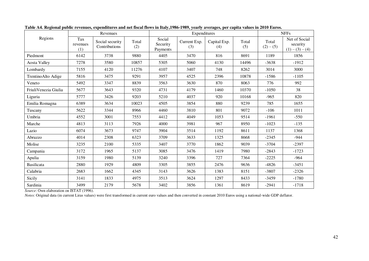|                      |                        | Revenues                         |              |                                | Expenditures        | <b>NFFs</b>         |              |                      |                                                |
|----------------------|------------------------|----------------------------------|--------------|--------------------------------|---------------------|---------------------|--------------|----------------------|------------------------------------------------|
| Regions              | Tax<br>revenues<br>(1) | Social security<br>Contributions | Total<br>(2) | Social<br>Security<br>Payments | Current Exp.<br>(3) | Capital Exp.<br>(4) | Total<br>(5) | Total<br>$(2) - (5)$ | Net of Social<br>security<br>$(1) - (3) - (4)$ |
| Piedmont             | 6142                   | 3738                             | 9880         | 4405                           | 3470                | 816                 | 8691         | 1189                 | 1856                                           |
| <b>Aosta Valley</b>  | 7278                   | 3580                             | 10857        | 5305                           | 5060                | 4130                | 14496        | $-3638$              | $-1912$                                        |
| Lombardy             | 7155                   | 4120                             | 11276        | 4107                           | 3407                | 748                 | 8262         | 3014                 | 3000                                           |
| TrentinoAlto Adige   | 5816                   | 3475                             | 9291         | 3957                           | 4525                | 2396                | 10878        | $-1586$              | $-1105$                                        |
| Veneto               | 5492                   | 3347                             | 8839         | 3563                           | 3630                | 870                 | 8063         | 776                  | 992                                            |
| FriuliVenezia Giulia | 5677                   | 3643                             | 9320         | 4731                           | 4179                | 1460                | 10370        | $-1050$              | 38                                             |
| Liguria              | 5777                   | 3426                             | 9203         | 5210                           | 4037                | 920                 | 10168        | $-965$               | 820                                            |
| Emilia Romagna       | 6389                   | 3634                             | 10023        | 4505                           | 3854                | 880                 | 9239         | 785                  | 1655                                           |
| Tuscany              | 5622                   | 3344                             | 8966         | 4460                           | 3810                | 801                 | 9072         | $-106$               | 1011                                           |
| Umbria               | 4552                   | 3001                             | 7553         | 4412                           | 4049                | 1053                | 9514         | $-1961$              | $-550$                                         |
| Marche               | 4813                   | 3113                             | 7926         | 4000                           | 3981                | 967                 | 8950         | $-1023$              | $-135$                                         |
| Lazio                | 6074                   | 3673                             | 9747         | 3904                           | 3514                | 1192                | 8611         | 1137                 | 1368                                           |
| Abruzzo              | 4014                   | 2308                             | 6323         | 3709                           | 3633                | 1325                | 8668         | $-2345$              | $-944$                                         |
| Molise               | 3235                   | 2100                             | 5335         | 3407                           | 3770                | 1862                | 9039         | $-3704$              | $-2397$                                        |
| Campania             | 3172                   | 1965                             | 5137         | 3085                           | 3476                | 1419                | 7980         | $-2843$              | $-1723$                                        |
| Apulia               | 3159                   | 1980                             | 5139         | 3240                           | 3396                | 727                 | 7364         | $-2225$              | $-964$                                         |
| Basilicata           | 2880                   | 1929                             | 4809         | 3305                           | 3855                | 2476                | 9636         | $-4826$              | $-3451$                                        |
| Calabria             | 2683                   | 1662                             | 4345         | 3143                           | 3626                | 1383                | 8151         | $-3807$              | $-2326$                                        |
| Sicily               | 3141                   | 1833                             | 4975         | 3513                           | 3624                | 1297                | 8433         | $-3459$              | $-1780$                                        |
| Sardinia             | 3499                   | 2179                             | 5678         | 3402                           | 3856                | 1361                | 8619         | $-2941$              | $-1718$                                        |

**Table A4. Regional public revenues, expenditures and net fiscal flows in Italy,1986-1989, yearly averages, per capita values in 2010 Euros.**

*Source*: Own elaboration on ISTAT (1996).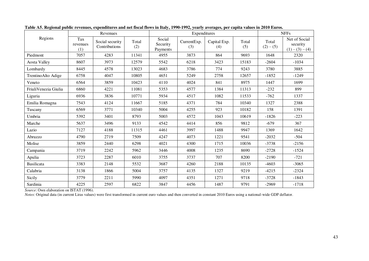|                      |                        | Revenues                         |              |                                | Expenditures       | <b>NFFs</b>         |              |                      |                                                |
|----------------------|------------------------|----------------------------------|--------------|--------------------------------|--------------------|---------------------|--------------|----------------------|------------------------------------------------|
| Regions              | Tax<br>revenues<br>(1) | Social security<br>Contributions | Total<br>(2) | Social<br>Security<br>Payments | CurrentExp.<br>(3) | Capital Exp.<br>(4) | Total<br>(5) | Total<br>$(2) - (5)$ | Net of Social<br>security<br>$(1) - (3) - (4)$ |
| Piedmont             | 7057                   | 4283                             | 11341        | 4955                           | 3873               | 864                 | 9693         | 1648                 | 2320                                           |
| <b>Aosta Valley</b>  | 8607                   | 3973                             | 12579        | 5542                           | 6218               | 3423                | 15183        | $-2604$              | $-1034$                                        |
| Lombardy             | 8445                   | 4578                             | 13023        | 4683                           | 3786               | 774                 | 9243         | 3780                 | 3885                                           |
| TrentinoAlto Adige   | 6758                   | 4047                             | 10805        | 4651                           | 5249               | 2758                | 12657        | $-1852$              | $-1249$                                        |
| Veneto               | 6564                   | 3859                             | 10423        | 4110                           | 4024               | 841                 | 8975         | 1447                 | 1699                                           |
| FriuliVenezia Giulia | 6860                   | 4221                             | 11081        | 5353                           | 4577               | 1384                | 11313        | $-232$               | 899                                            |
| Liguria              | 6936                   | 3836                             | 10771        | 5934                           | 4517               | 1082                | 11533        | $-762$               | 1337                                           |
| Emilia Romagna       | 7543                   | 4124                             | 11667        | 5185                           | 4371               | 784                 | 10340        | 1327                 | 2388                                           |
| Tuscany              | 6569                   | 3771                             | 10340        | 5004                           | 4255               | 923                 | 10182        | 158                  | 1391                                           |
| Umbria               | 5392                   | 3401                             | 8793         | 5003                           | 4572               | 1043                | 10619        | $-1826$              | $-223$                                         |
| Marche               | 5637                   | 3496                             | 9133         | 4542                           | 4414               | 856                 | 9812         | $-679$               | 367                                            |
| Lazio                | 7127                   | 4188                             | 11315        | 4461                           | 3997               | 1488                | 9947         | 1369                 | 1642                                           |
| Abruzzo              | 4790                   | 2719                             | 7509         | 4247                           | 4073               | 1221                | 9541         | $-2032$              | $-504$                                         |
| Molise               | 3859                   | 2440                             | 6298         | 4021                           | 4300               | 1715                | 10036        | $-3738$              | $-2156$                                        |
| Campania             | 3719                   | 2242                             | 5962         | 3446                           | 4008               | 1235                | 8690         | $-2728$              | $-1524$                                        |
| Apulia               | 3723                   | 2287                             | 6010         | 3755                           | 3737               | 707                 | 8200         | $-2190$              | $-721$                                         |
| Basilicata           | 3383                   | 2148                             | 5532         | 3687                           | 4260               | 2188                | 10135        | $-4603$              | $-3065$                                        |
| Calabria             | 3138                   | 1866                             | 5004         | 3757                           | 4135               | 1327                | 9219         | $-4215$              | $-2324$                                        |
| Sicily               | 3779                   | 2211                             | 5990         | 4097                           | 4351               | 1271                | 9718         | $-3728$              | $-1843$                                        |
| Sardinia             | 4225                   | 2597                             | 6822         | 3847                           | 4456               | 1487                | 9791         | $-2969$              | $-1718$                                        |

**Table A5. Regional public revenues, expenditures and net fiscal flows in Italy, 1990-1992, yearly averages, per capita values in 2010 Euros.**

*Source*: Own elaboration on ISTAT (1996).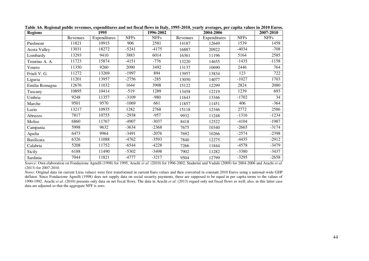| <b>Regions</b>    |          | 1995         |             | 1996-2002   |          | 2004-2006<br>Expenditures<br><b>NFFs</b><br>1539<br>12649<br>$-4034$<br>20922<br>5164<br>11196<br>$-1435$<br>14655<br>2446<br>10690<br>123<br>13834<br>$-1027$<br>14077<br>2824<br>12299<br>1239<br>12219<br>$-1702$<br>13346<br>406<br>11451<br>2772<br>12346<br>$-1316$<br>11248<br>$-4104$<br>12522<br>$-2665$<br>10340 |         | 2007-2010   |
|-------------------|----------|--------------|-------------|-------------|----------|----------------------------------------------------------------------------------------------------------------------------------------------------------------------------------------------------------------------------------------------------------------------------------------------------------------------------|---------|-------------|
|                   | Revenues | Expenditures | <b>NFFs</b> | <b>NFFs</b> | Revenues |                                                                                                                                                                                                                                                                                                                            |         | <b>NFFs</b> |
| Piedmont          | 11821    | 10915        | 906         | 2581        | 14187    |                                                                                                                                                                                                                                                                                                                            |         | 1458        |
| Aosta Valley      | 13031    | 18272        | $-5241$     | $-4175$     | 16887    |                                                                                                                                                                                                                                                                                                                            |         | $-708$      |
| Lombardy          | 13293    | 9410         | 3883        | 6014        | 16361    |                                                                                                                                                                                                                                                                                                                            |         | 2585        |
| Trentino A. A.    | 11723    | 15874        | $-4151$     | $-776$      | 13220    |                                                                                                                                                                                                                                                                                                                            |         | $-1158$     |
| Veneto            | 11350    | 9260         | 2090        | 3492        | 13137    |                                                                                                                                                                                                                                                                                                                            |         | 764         |
| Friuli V. G.      | 11272    | 13269        | $-1997$     | 894         | 13957    |                                                                                                                                                                                                                                                                                                                            |         | 722         |
| Liguria           | 11201    | 13957        | $-2756$     | $-285$      | 13050    |                                                                                                                                                                                                                                                                                                                            |         | 1703        |
| Emilia Romagna    | 12676    | 11032        | 1644        | 3908        | 15122    |                                                                                                                                                                                                                                                                                                                            |         | 2080        |
| Tuscany           | 10895    | 10414        | $-519$      | 1289        | 13458    |                                                                                                                                                                                                                                                                                                                            |         | 693         |
| Umbria            | 9248     | 11357        | $-3109$     | $-980$      | 11643    |                                                                                                                                                                                                                                                                                                                            |         | 34          |
| Marche            | 9501     | 9570         | $-1069$     | 661         | 11857    |                                                                                                                                                                                                                                                                                                                            |         | $-364$      |
| Lazio             | 13217    | 10935        | 1282        | 2768        | 15118    |                                                                                                                                                                                                                                                                                                                            |         | 2586        |
| Abruzzo           | 7817     | 10755        | $-2938$     | $-957$      | 9932     |                                                                                                                                                                                                                                                                                                                            |         | $-1234$     |
| Molise            | 6860     | 11767        | $-4907$     | $-3037$     | 8418     |                                                                                                                                                                                                                                                                                                                            |         | $-1987$     |
| Campania          | 5998     | 9632         | $-3634$     | $-2368$     | 7675     |                                                                                                                                                                                                                                                                                                                            |         | $-3174$     |
| Apulia            | 6473     | 9964         | $-3491$     | $-2076$     | 7692     | 10266                                                                                                                                                                                                                                                                                                                      | $-2574$ | $-2398$     |
| <b>Basilicata</b> | 6326     | 11088        | -4762       | $-3593$     | 7840     | 12275                                                                                                                                                                                                                                                                                                                      | -4435   | $-2912$     |
| Calabria          | 5208     | 11752        | -6544       | $-4228$     | 7266     | 11844                                                                                                                                                                                                                                                                                                                      | $-4578$ | $-3479$     |
| Sicily            | 6188     | 11490        | $-5302$     | $-3498$     | 7902     | 11282                                                                                                                                                                                                                                                                                                                      | $-3380$ | $-3437$     |
| Sardinia          | 7044     | 11821        | -4777       | $-3217$     | 9504     | 12799                                                                                                                                                                                                                                                                                                                      | $-3295$ | $-2658$     |

**Table A6. Regional public revenues, expenditures and net fiscal flows in Italy, 1995-2010, yearly averages, per capita values in 2010 Euros.**

*Source*: Own elaboration on Fondazione Agnelli (1998) for 1995, Arachi *et al.* (2010) for 1996-2002, Staderini and Vadalà (2009) for 2004-2006 and Arachi *et al.*  (2013) for 2007-2010.

*Notes*: Original data (in current Liras values) were first transformed in current Euro values and then converted in constant 2010 Euros using a national-wide GDP deflator. Since Fondazione Agnelli (1998) does not supply data on social security payments, these are supposed to be equal in per capita terms to the values of 1990-1992. Arachi *et al.* (2010) presents only data on net fiscal flows. The data in Arachi *et al.* (2013) regard only net fiscal flows as well; also, in this latter case data are adjusted so that the aggregate NFF is zero.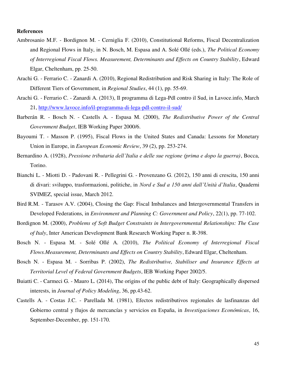#### **References**

- Ambrosanio M.F. Bordignon M. Cerniglia F. (2010), Constitutional Reforms, Fiscal Decentralization and Regional Flows in Italy, in N. Bosch, M. Espasa and A. Solé Ollé (eds.), *The Political Economy of Interregional Fiscal Flows. Measurement, Determinants and Effects on Country Stability*, Edward Elgar, Cheltenham, pp. 25-50.
- Arachi G. Ferrario C. Zanardi A. (2010), Regional Redistribution and Risk Sharing in Italy: The Role of Different Tiers of Government, in *Regional Studies*, 44 (1), pp. 55-69.
- Arachi G. Ferrario C. Zanardi A. (2013), Il programma di Lega-Pdl contro il Sud, in Lavoce.info, March 21,<http://www.lavoce.info/il-programma-di-lega-pdl-contro-il-sud/>
- Barberán R. Bosch N. Castells A. Espasa M. (2000), *The Redistributive Power of the Central Government Budget*, IEB Working Paper 2000/6.
- Bayoumi T. Masson P. (1995), Fiscal Flows in the United States and Canada: Lessons for Monetary Union in Europe, in *European Economic Review*, 39 (2), pp. 253-274.
- Bernardino A. (1928), *Pressione tributaria dell'Italia e delle sue regione (prima e dopo la guerra)*, Bocca, Torino.
- Bianchi L. Miotti D. Padovani R. Pellegrini G. Provenzano G. (2012), 150 anni di crescita, 150 anni di divari: sviluppo, trasformazioni, politiche, in *Nord e Sud a 150 anni dall'Unità d'Italia*, Quaderni SVIMEZ, special issue, March 2012.
- Bird R.M. Tarasov A.V. (2004), Closing the Gap: Fiscal Imbalances and Intergovernmental Transfers in Developed Federations, in *Environment and Planning C: Government and Policy*, 22(1), pp. 77-102.
- Bordignon M. (2000), *Problems of Soft Budget Constraints in Intergovernmental Relationships: The Case of Italy*, Inter American Development Bank Research Working Paper n. R-398.
- Bosch N. Espasa M. Solé Ollé A. (2010), *The Political Economy of Interregional Fiscal Flows.Measurement, Determinants and Effects on Country Stability*, Edward Elgar, Cheltenham.
- Bosch N. Espasa M. Sorribas P. (2002), *The Redistributive, Stabiliser and Insurance Effects at Territorial Level of Federal Government Budgets*, IEB Working Paper 2002/5.
- Buiatti C. Carmeci G. Mauro L. (2014), The origins of the public debt of Italy: Geographically dispersed interests, in *Journal of Policy Modeling*, 36, pp.43-62.
- Castells A. Costas J.C. Parellada M. (1981), Efectos redistributivos regionales de lasfinanzas del Gobierno central y flujos de mercancías y servicios en España, in *Investigaciones Económicas*, 16, September-December, pp. 151-170.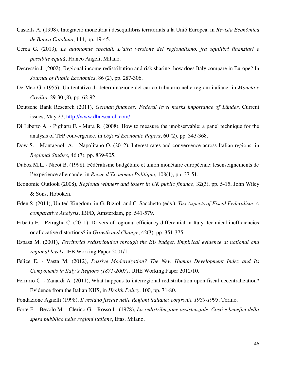- Castells A. (1998), Integració monetària i desequilibris territorials a la Unió Europea, in *Revista Econòmica de Banca Catalana*, 114, pp. 19-45.
- Cerea G. (2013), *Le autonomie speciali. L'atra versione del regionalismo, fra squilibri finanziari e possibile equità*, Franco Angeli, Milano.
- Decressin J. (2002), Regional income redistribution and risk sharing: how does Italy compare in Europe? In *Journal of Public Economics*, 86 (2), pp. 287-306.
- De Meo G. (1955), Un tentativo di determinazione del carico tributario nelle regioni italiane, in *Moneta e Credito*, 29-30 (8), pp. 62-92.
- Deutsche Bank Research (2011), *German finances: Federal level masks importance of Länder*, Current issues, May 27,<http://www.dbresearch.com/>
- Di Liberto A. Pigliaru F. Mura R. (2008), How to measure the unobservable: a panel technique for the analysis of TFP convergence, in *Oxford Economic Papers*, 60 (2), pp. 343-368.
- Dow S. Montagnoli A. Napolitano O. (2012), Interest rates and convergence across Italian regions, in *Regional Studies*, 46 (7), pp. 839-905.
- Duboz M.L. Nicot B. (1998), Fédéralisme budgétaire et union monétaire européenne: lesenseignements de l'expérience allemande, in *Revue d'Economie Politique*, 108(1), pp. 37-51.
- Economic Outlook (2008), *Regional winners and losers in UK public finance*, 32(3), pp. 5-15, John Wiley & Sons, Hoboken.
- Eden S. (2011), United Kingdom, in G. Bizioli and C. Sacchetto (eds.), *Tax Aspects of Fiscal Federalism. A comparative Analysis*, IBFD, Amsterdam, pp. 541-579.
- Erbetta F. Petraglia C. (2011), Drivers of regional efficiency differential in Italy: technical inefficiencies or allocative distortions? in *Growth and Change*, 42(3), pp. 351-375.
- Espasa M. (2001), *Territorial redistribution through the EU budget. Empirical evidence at national and regional levels*, IEB Working Paper 2001/1.
- Felice E. Vasta M. (2012), *Passive Modernization? The New Human Development Index and Its Components in Italy's Regions (1871-2007)*, UHE Working Paper 2012/10.
- Ferrario C. Zanardi A. (2011), What happens to interregional redistribution upon fiscal decentralization? Evidence from the Italian NHS, in *Health Policy*, 100, pp. 71-80.
- Fondazione Agnelli (1998), *Il residuo fiscale nelle Regioni italiane: confronto 1989-1995*, Torino.
- Forte F. Bevolo M. Clerico G. Rosso L. (1978), *La redistribuzione assistenziale. Costi e benefici della spesa pubblica nelle regioni italiane*, Etas, Milano.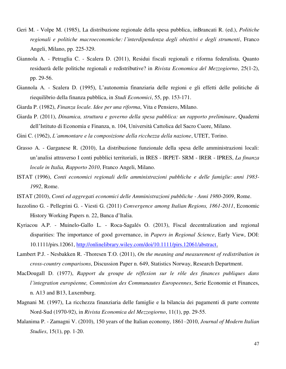- Geri M. Volpe M. (1985), La distribuzione regionale della spesa pubblica, inBrancati R. (ed.), *Politiche regionali e politiche macroeconomiche: l'interdipendenza degli obiettivi e degli strumenti*, [Franco](javascript:open_window(%22http://143.225.172.65:80/F/9LIFLA587D1B8Q2CJ4YIQJS3C3VMQV59Q8FCK59ELYR8R6LXBI-07953?func=service&doc_number=000315968&line_number=0009&service_type=TAG%22);)  [Angeli,](javascript:open_window(%22http://143.225.172.65:80/F/9LIFLA587D1B8Q2CJ4YIQJS3C3VMQV59Q8FCK59ELYR8R6LXBI-07953?func=service&doc_number=000315968&line_number=0009&service_type=TAG%22);) Milano, pp. 225-329.
- Giannola A. Petraglia C. Scalera D. (2011), Residui fiscali regionali e riforma federalista. Quanto residuerà delle politiche regionali e redistributive? in *Rivista Economica del Mezzogiorno*, 25(1-2), pp. 29-56.
- Giannola A. Scalera D. (1995), L'autonomia finanziaria delle regioni e gli effetti delle politiche di riequilibrio della finanza pubblica, in *Studi Economici*, 55, pp. 153-171.
- Giarda P. (1982), *Finanza locale. Idee per una riforma*, Vita e Pensiero, Milano.
- Giarda P. (2011), *Dinamica, struttura e governo della spesa pubblica: un rapporto preliminare*, Quaderni dell'Istituto di Economia e Finanza, n. 104, Università Cattolica del Sacro Cuore, Milano.
- Gini C. (1962), *L'ammontare e la composizione della ricchezza della nazione*, UTET, Torino.
- Grasso A. Garganese R. (2010), La distribuzione funzionale della spesa delle amministrazioni locali: un'analisi attraverso I conti pubblici territoriali, in IRES - IRPET- SRM - IRER - IPRES, *La finanza locale in Italia, Rapporto 2010*, Franco Angeli, Milano.
- ISTAT (1996), *Conti economici regionali delle amministrazioni pubbliche e delle famiglie: anni 1983- 1992*, Rome.
- ISTAT (2010), *Conti ed aggregati economici delle Amministrazioni pubbliche Anni 1980-2009*, Rome.
- Iuzzolino G. Pellegrini G. Viesti G. (2011) *Convergence among Italian Regions, 1861-2011*, Economic History Working Papers n. 22, Banca d'Italia.
- Kyriacou A.P. Muinelo-Gallo L. Roca-Sagalés O. (2013), Fiscal decentralization and regional disparities: The importance of good governance, in *Papers in Regional Science*, Early View, DOI: 10.1111/pirs.12061, [http://onlinelibrary.wiley.com/doi/10.1111/pirs.12061/abstract.](http://onlinelibrary.wiley.com/doi/10.1111/pirs.12061/abstract)
- Lambert P.J. Nesbakken R. -Thoresen T.O. (2011), *On the meaning and measurement of redistribution in cross-country comparisons*, Discussion Paper n. 649, Statistics Norway, Research Department.
- MacDougall D. (1977), *Rapport du groupe de réflexion sur le rôle des finances publiques dans l'integration européenne, Commission des Communautes Europeennes*, Serie Economie et Finances, n. A13 and B13, Luxemburg.
- Magnani M. (1997), La ricchezza finanziaria delle famiglie e la bilancia dei pagamenti di parte corrente Nord-Sud (1970-92), in *Rivista Economica del Mezzogiorno*, 11(1), pp. 29-55.
- Malanima P. Zamagni V. (2010), 150 years of the Italian economy, 1861–2010, *Journal of Modern Italian Studies*, 15(1), pp. 1-20.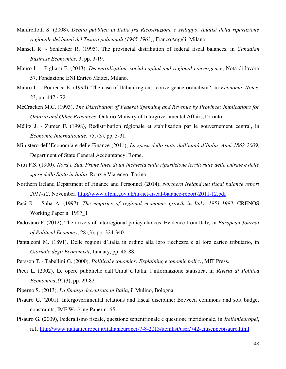- Manfrellotti S. (2008), *Debito pubblico in Italia fra Ricostruzione e sviluppo. Analisi della ripartizione regionale dei buoni del Tesoro poliennali (1945-1963)*, FrancoAngeli, Milano.
- Mansell R. Schlenker R. (1995), The provincial distribution of federal fiscal balances, in *Canadian Business Economics*, 3, pp. 3-19.
- Mauro L. Pigliaru F. (2013), *Decentralization, social capital and regional convergence*, Nota di lavoro 57, Fondazione ENI Enrico Mattei, Milano.
- Mauro L. Podrecca E. (1994), The case of Italian regions: convergence ordualism?, in *Economic Notes*, 23, pp. 447-472.
- McCracken M.C. (1993), *The Distribution of Federal Spending and Revenue by Province: Implications for Ontario and Other Provinces*, Ontario Ministry of Intergovernmental Affairs,Toronto.
- Mélitz J. Zumer F. (1998), Redistribution régionale et stabilisation par le gouvernement central, in *Économie Internationale*, 75, (3), pp. 3-31.
- Ministero dell'Economia e delle Finanze (2011), *La spesa dello stato dall'unità d'Italia. Anni 1862-2009*, Department of State General Accountancy, Rome.
- Nitti F.S. (1900), *Nord e Sud. Prime linee di un'inchiesta sulla ripartizione territoriale delle entrate e delle spese dello Stato in Italia*, Roux e Viarengo, Torino.
- Northern Ireland Department of Finance and Personnel (2014), *Northern Ireland net fiscal balance report 2011-12*, November,<http://www.dfpni.gov.uk/ni-net-fiscal-balance-report-2011-12.pdf>
- Paci R. Saba A. (1997), *The empirics of regional economic growth in Italy. 1951-1993*, CRENOS Working Paper n. 1997\_1
- Padovano F. (2012), The drivers of interregional policy choices: Evidence from Italy*,* in *European Journal of Political Economy*, 28 (3), pp. 324-340.
- Pantaleoni M. (1891), Delle regioni d'Italia in ordine alla loro ricchezza e al loro carico tributario, in *Giornale degli Economisti*, January, pp. 48-88.
- Persson T. Tabellini G. (2000), *Political economics: Explaining economic policy*, MIT Press.
- Picci L. (2002), Le opere pubbliche dall'Unità d'Italia: l'informazione statistica, in *Rivista di Politica Economica*, 92(3), pp. 29-82.
- Piperno S. (2013), *La finanza decentrata in Italia*, il Mulino, Bologna.
- Pisauro G. (2001), Intergovernmental relations and fiscal discipline: Between commons and soft budget constraints, IMF Working Paper n. 65.
- Pisauro G. (2009), Federalismo fiscale, questione settentrionale e questione meridionale, in *Italianieuropei*, n.1,<http://www.italianieuropei.it/italianieuropei-7-8-2013/itemlist/user/742-giuseppepisauro.html>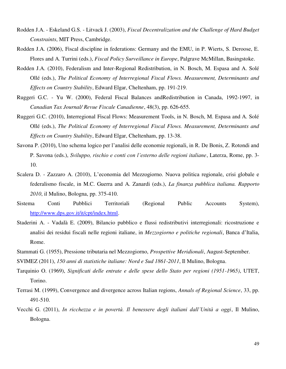- Rodden J.A. Eskeland G.S. Litvack J. (2003), *Fiscal Decentralization and the Challenge of Hard Budget Constraints*, MIT Press, Cambridge.
- Rodden J.A. (2006), Fiscal discipline in federations: Germany and the EMU, in P. Wierts, S. Deroose, E. Flores and A. Turrini (eds.), *Fiscal Policy Surveillance in Europe*, Palgrave McMillan, Basingstoke.
- Rodden J.A. (2010), Federalism and Inter-Regional Redistribution, in N. Bosch, M. Espasa and A. Solé Ollé (eds.), *The Political Economy of Interregional Fiscal Flows. Measurement, Determinants and Effects on Country Stability*, Edward Elgar, Cheltenham, pp. 191-219.
- Ruggeri G.C. Yu W. (2000), Federal Fiscal Balances andRedistribution in Canada, 1992-1997, in *Canadian Tax Journal/ Revue Fiscale Canadienne*, 48(3), pp. 626-655.
- Ruggeri G.C. (2010), Interregional Fiscal Flows: Measurement Tools, in N. Bosch, M. Espasa and A. Solé Ollé (eds.), *The Political Economy of Interregional Fiscal Flows. Measurement, Determinants and Effects on Country Stability*, Edward Elgar, Cheltenham, pp. 13-38.
- Savona P. (2010), Uno schema logico per l'analisi delle economie regionali, in R. De Bonis, Z. Rotondi and P. Savona (eds.), *Sviluppo, rischio e conti con l'esterno delle regioni italiane*, Laterza, Rome, pp. 3- 10.
- Scalera D. Zazzaro A. (2010), L'economia del Mezzogiorno. Nuova politica regionale, crisi globale e federalismo fiscale, in M.C. Guerra and A. Zanardi (eds.), *La finanza pubblica italiana. Rapporto 2010*, il Mulino, Bologna, pp. 375-410.
- Sistema Conti Pubblici Territoriali (Regional Public Accounts System), [http://www.dps.gov.it/it/cpt/index.html.](http://www.dps.gov.it/it/cpt/index.html)
- Staderini A. Vadalà E. (2009), Bilancio pubblico e flussi redistributivi interregionali: ricostruzione e analisi dei residui fiscali nelle regioni italiane, in *Mezzogiorno e politiche regionali*, Banca d'Italia, Rome.
- Stammati G. (1955), Pressione tributaria nel Mezzogiorno, *Prospettive Meridionali*, August-September.

SVIMEZ (2011), *150 anni di statistiche italiane: Nord e Sud 1861-2011*, Il Mulino, Bologna.

- Tarquinio O. (1969), *Significati delle entrate e delle spese dello Stato per regioni (1951-1965)*, UTET, Torino.
- Terrasi M. (1999), Convergence and divergence across Italian regions, *Annals of Regional Science*, 33, pp. 491-510.
- Vecchi G. (2011), *In ricchezza e in povertà. Il benessere degli italiani dall'Unità a oggi*, Il Mulino, Bologna.